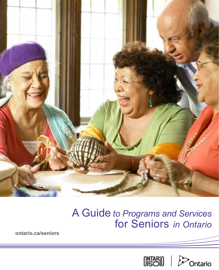

# A Guide *to Programs and Services*  for Seniors *in Ontario*

**ontario.ca/seniors**

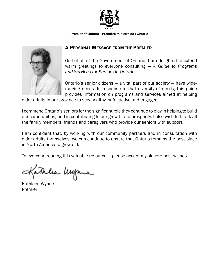

**Premier of Ontario - Première ministre de l'Ontario**



#### A PERSONAL MESSAGE FROM THE PREMIER

On behalf of the Government of Ontario, I am delighted to extend warm greetings to everyone consulting — *A Guide to Programs and Services for Seniors in Ontario*.

Ontario's senior citizens  $-$  a vital part of our society  $-$  have wideranging needs. In response to that diversity of needs, this guide provides information on programs and services aimed at helping

older adults in our province to stay healthy, safe, active and engaged.

I commend Ontario's seniors for the significant role they continue to play in helping to build our communities, and in contributing to our growth and prosperity. I also wish to thank all the family members, friends and caregivers who provide our seniors with support.

I am confident that, by working with our community partners and in consultation with older adults themselves, we can continue to ensure that Ontario remains the best place in North America to grow old.

To everyone reading this valuable resource — please accept my sincere best wishes.

athlea Uyre

Kathleen Wynne Premier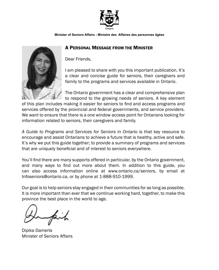

**Minister of Seniors Affairs - Ministre des Affaires des personnes âgées**

#### A PERSONAL MESSAGE FROM THE MINISTER



Dear Friends,

I am pleased to share with you this important publication. It's a clear and concise guide for seniors, their caregivers and family to the programs and services available in Ontario.

The Ontario government has a clear and comprehensive plan to respond to the growing needs of seniors. A key element

of this plan includes making it easier for seniors to find and access programs and services offered by the provincial and federal governments, and service providers. We want to ensure that there is a one window access point for Ontarians looking for information related to seniors, their caregivers and family.

*A Guide to Programs and Services for Seniors in Ontario* is that key resource to encourage and assist Ontarians to achieve a future that is healthy, active and safe. It's why we put this guide together; to provide a summary of programs and services that are uniquely beneficial and of interest to seniors everywhere.

You'll find there are many supports offered in particular, by the Ontario government, and many ways to find out more about them. In addition to this guide, you can also access information online at www.ontario.ca/seniors, by email at Infoseniors@ontario.ca, or by phone at 1-888-910-1999.

Our goal is to help seniors stay engaged in their communities for as long as possible. It is more important than ever that we continue working hard, together, to make this province the best place in the world to age.

Dipika Damerla Minister of Seniors Affairs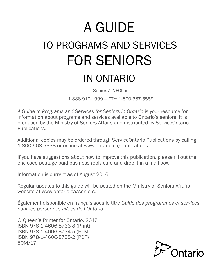# A GUIDE TO PROGRAMS AND SERVICES FOR SENIORS IN ONTARIO

Seniors' INFOline

1-888-910-1999 — TTY: 1-800-387-5559

*A Guide to Programs and Services for Seniors in Ontario* is your resource for information about programs and services available to Ontario's seniors. It is produced by the Ministry of Seniors Affairs and distributed by ServiceOntario Publications.

Additional copies may be ordered through ServiceOntario Publications by calling 1-800-668-9938 or online at [www.ontario.ca/](http://www.publications.serviceontario.ca)publications.

If you have suggestions about how to improve this publication, please fill out the enclosed postage-paid business reply card and drop it in a mail box.

Information is current as of August 2016.

Regular updates to this guide will be posted on the Ministry of Seniors Affairs website at [www.ontario.ca/seniors.](http://www.ontario.ca/seniors)

Également disponible en français sous le titre *Guide des programmes et services pour les personnes âgées de l'Ontario*.

© Queen's Printer for Ontario, 2017 ISBN 978-1-4606-8733-8 (Print) ISBN 978-1-4606-8734-5 (HTML) ISBN 978-1-4606-8735-2 (PDF) 50M/17

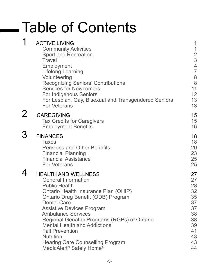# Table of Contents

| 1              | <b>ACTIVE LIVING</b><br><b>Community Activities</b><br><b>Sport and Recreation</b><br><b>Travel</b><br>Employment<br><b>Lifelong Learning</b><br>Volunteering<br><b>Recognizing Seniors' Contributions</b><br><b>Services for Newcomers</b><br>For Indigenous Seniors<br>For Lesbian, Gay, Bisexual and Transgendered Seniors<br><b>For Veterans</b>                                                                                                                                       | 1<br>$\mathbf 1$<br>$\begin{array}{c} 2 \\ 3 \\ 4 \end{array}$<br>$\overline{7}$<br>$\begin{array}{c} 8 \\ 8 \end{array}$<br>11<br>12<br>13<br>13 |
|----------------|--------------------------------------------------------------------------------------------------------------------------------------------------------------------------------------------------------------------------------------------------------------------------------------------------------------------------------------------------------------------------------------------------------------------------------------------------------------------------------------------|---------------------------------------------------------------------------------------------------------------------------------------------------|
| $\overline{2}$ | <b>CAREGIVING</b><br><b>Tax Credits for Caregivers</b><br><b>Employment Benefits</b>                                                                                                                                                                                                                                                                                                                                                                                                       | 15<br>15<br>16                                                                                                                                    |
| 3              | <b>FINANCES</b><br><b>Taxes</b><br><b>Pensions and Other Benefits</b><br><b>Financial Planning</b><br><b>Financial Assistance</b><br><b>For Veterans</b>                                                                                                                                                                                                                                                                                                                                   | 18<br>18<br>20<br>23<br>25<br>25                                                                                                                  |
| 4              | <b>HEALTH AND WELLNESS</b><br><b>General Information</b><br><b>Public Health</b><br>Ontario Health Insurance Plan (OHIP)<br>Ontario Drug Benefit (ODB) Program<br><b>Dental Care</b><br><b>Assistive Devices Program</b><br><b>Ambulance Services</b><br>Regional Geriatric Programs (RGPs) of Ontario<br><b>Mental Health and Addictions</b><br><b>Fall Prevention</b><br><b>Nutrition</b><br><b>Hearing Care Counselling Program</b><br>MedicAlert <sup>®</sup> Safely Home <sup>®</sup> | 27<br>27<br>28<br>32<br>35<br>37<br>37<br>38<br>38<br>39<br>41<br>43<br>43<br>44                                                                  |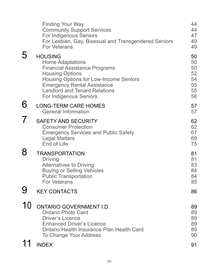|                   | <b>Finding Your Way</b><br><b>Community Support Services</b><br>For Indigenous Seniors<br>For Lesbian, Gay, Bisexual and Transgendered Seniors<br><b>For Veterans</b>                                                                                         | 44<br>44<br>47<br>49<br>49                   |
|-------------------|---------------------------------------------------------------------------------------------------------------------------------------------------------------------------------------------------------------------------------------------------------------|----------------------------------------------|
| 5                 | <b>HOUSING</b><br><b>Home Adaptations</b><br><b>Financial Assistance Programs</b><br><b>Housing Options</b><br>Housing Options for Low-Income Seniors<br><b>Emergency Rental Assistance</b><br><b>Landlord and Tenant Relations</b><br>For Indigenous Seniors | 50<br>50<br>50<br>52<br>54<br>55<br>55<br>56 |
| 6                 | <b>LONG-TERM CARE HOMES</b><br><b>General Information</b>                                                                                                                                                                                                     | 57<br>57                                     |
| $\mathcal T$      | <b>SAFETY AND SECURITY</b><br><b>Consumer Protection</b><br><b>Emergency Services and Public Safety</b><br><b>Legal Matters</b><br>End of Life                                                                                                                | 62<br>62<br>67<br>69<br>75                   |
| 8                 | <b>TRANSPORTATION</b><br><b>Driving</b><br><b>Alternatives to Driving</b><br><b>Buying or Selling Vehicles</b><br><b>Public Transportation</b><br><b>For Veterans</b>                                                                                         | 81<br>81<br>83<br>84<br>84<br>85             |
|                   | <b>KEY CONTACTS</b>                                                                                                                                                                                                                                           | 86                                           |
| . ^<br><b>1</b> U | <b>ONTARIO GOVERNMENT I.D.</b><br><b>Ontario Photo Card</b><br><b>Driver's Licence</b><br><b>Enhanced Driver's Licence</b><br>Ontario Health Insurance Plan Health Card<br>To Change Your Address                                                             | 89<br>89<br>89<br>89<br>89<br>90             |
| 11                | <b>INDEX</b>                                                                                                                                                                                                                                                  | 91                                           |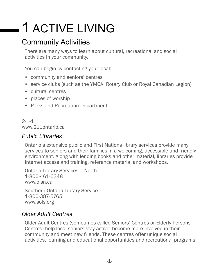# <span id="page-7-0"></span>1 ACTIVE LIVING

# Community Activities

There are many ways to learn about cultural, recreational and social activities in your community.

You can begin by contacting your local:

- community and seniors' centres
- service clubs (such as the YMCA, Rotary Club or Royal Canadian Legion)
- cultural centres
- places of worship
- Parks and Recreation Department

2-1-1 [www.211ontario.ca](http://www.211ontario.ca)

## *Public Libraries*

Ontario's extensive public and First Nations library services provide many services to seniors and their families in a welcoming, accessible and friendly environment. Along with lending books and other material, libraries provide Internet access and training, reference material and workshops.

Ontario Library Services – North 1-800-461-6348 [www.olsn.ca](http://www.olsn.ca)

Southern Ontario Library Service 1-800-387-5765 [www.sols.org](http://www.sols.org)

## *Older Adult Centres*

Older Adult Centres (sometimes called Seniors' Centres or Elderly Persons Centres) help local seniors stay active, become more involved in their community and meet new friends. These centres offer unique social activities, learning and educational opportunities and recreational programs.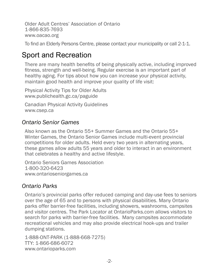<span id="page-8-0"></span>Older Adult Centres' Association of Ontario 1-866-835-7693 [www.oacao.org](http://www.oacao.org)

To find an Elderly Persons Centre, please contact your municipality or call 2-1-1.

# Sport and Recreation

There are many health benefits of being physically active, including improved fitness, strength and well-being. Regular exercise is an important part of healthy aging. For tips about how you can increase your physical activity, maintain good health and improve your quality of life visit:

Physical Activity Tips for Older Adults [www.publichealth.gc.ca/paguide](http://www.publichealth.gc.ca/paguide)

Canadian Physical Activity Guidelines www.csep.ca

## *Ontario Senior Games*

Also known as the Ontario 55+ Summer Games and the Ontario 55+ Winter Games, the Ontario Senior Games include multi-event provincial competitions for older adults. Held every two years in alternating years, these games allow adults 55 years and older to interact in an environment that celebrates a healthy and active lifestyle.

Ontario Seniors Games Association 1-800-320-6423 [www.ontarioseniorgames.ca](http://www.ontarioseniorgames.ca)

# *Ontario Parks*

Ontario's provincial parks offer reduced camping and day-use fees to seniors over the age of 65 and to persons with physical disabilities. Many Ontario parks offer barrier-free facilities, including showers, washrooms, campsites and visitor centres. The Park Locator at [OntarioParks.com](http://ontarioparks.com/) allows visitors to search for parks with barrier-free facilities. Many campsites accommodate recreational vehicles and may also provide electrical hook-ups and trailer dumping stations.

1-888-ONT-PARK (1-888-668-7275) TTY: 1-866-686-6072 [www.ontarioparks.com](http://www.ontarioparks.com)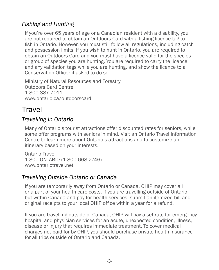# <span id="page-9-0"></span>*Fishing and Hunting*

If you're over 65 years of age or a Canadian resident with a disability, you are not required to obtain an Outdoors Card with a fishing licence tag to fish in Ontario. However, you must still follow all regulations, including catch and possession limits. If you wish to hunt in Ontario, you are required to obtain an Outdoors Card and you must have a licence valid for the species or group of species you are hunting. You are required to carry the licence and any validation tags while you are hunting, and show the licence to a Conservation Officer if asked to do so.

Ministry of Natural Resources and Forestry Outdoors Card Centre 1-800-387-7011 [www.ontario.ca/outdoorscard](https://www2.on.wildlifelicense.com/start.php)

# **Travel**

## *Travelling in Ontario*

Many of Ontario's tourist attractions offer discounted rates for seniors, while some offer programs with seniors in mind. Visit an Ontario Travel Information Centre to learn more about Ontario's attractions and to customize an itinerary based on your interests.

Ontario Travel 1-800-ONTARIO (1-800-668-2746) [www.ontariotravel.net](http://www.ontariotravel.net)

## *Travelling Outside Ontario or Canada*

If you are temporarily away from Ontario or Canada, OHIP may cover all or a part of your health care costs. If you are travelling outside of Ontario but within Canada and pay for health services, submit an itemized bill and original receipts to your local OHIP office within a year for a refund.

If you are travelling outside of Canada, OHIP will pay a set rate for emergency hospital and physician services for an acute, unexpected condition, illness, disease or injury that requires immediate treatment. To cover medical charges not paid for by OHIP, you should purchase private health insurance for all trips outside of Ontario and Canada.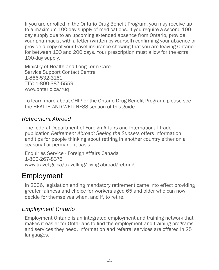<span id="page-10-0"></span>If you are enrolled in the Ontario Drug Benefit Program, you may receive up to a maximum 100-day supply of medications. If you require a second 100 day supply due to an upcoming extended absence from Ontario, provide your pharmacist with a letter (written by yourself) confirming your absence or provide a copy of your travel insurance showing that you are leaving Ontario for between 100 and 200 days. Your prescription must allow for the extra 100-day supply.

Ministry of Health and Long-Term Care Service Support Contact Centre 1-866-532-3161 TTY: 1-800-387-5559 [www.ontario.ca/ruq](http://www.ontario.ca/ruq)

To learn more about OHIP or the Ontario Drug Benefit Program, please see the HEALTH AND WELLNESS section of this guide.

#### *Retirement Abroad*

The federal Department of Foreign Affairs and International Trade publication *Retirement Abroad: Seeing the Sunsets* offers information and tips for people thinking about retiring in another country either on a seasonal or permanent basis.

Enquiries Service - Foreign Affairs Canada 1-800-267-8376 [www.travel.gc.ca/travelling/living-abroad/retiring](http://www.travel.gc.ca/travelling/living-abroad/retiring)

# Employment

In 2006, legislation ending mandatory retirement came into effect providing greater fairness and choice for workers aged 65 and older who can now decide for themselves when, and if, to retire.

#### *Employment Ontario*

Employment Ontario is an integrated employment and training network that makes it easier for Ontarians to find the employment and training programs and services they need. Information and referral services are offered in 25 languages.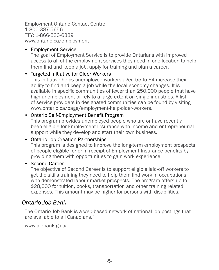Employment Ontario Contact Centre 1-800-387-5656 TTY: 1-866-533-6339 [www.ontario.ca/employment](http://www.ontario.ca/employment)

#### • Employment Service

The goal of Employment Service is to provide Ontarians with improved access to all of the employment services they need in one location to help them find and keep a job, apply for training and plan a career.

#### • Targeted Initiative for Older Workers

This initiative helps unemployed workers aged 55 to 64 increase their ability to find and keep a job while the local economy changes. It is available in specific communities of fewer than 250,000 people that have high unemployment or rely to a large extent on single industries. A list of service providers in designated communities can be found by visiting www.ontario.ca/page/employment-help-older-workers.

#### • Ontario Self-Employment Benefit Program

This program provides unemployed people who are or have recently been eligible for Employment Insurance with income and entrepreneurial support while they develop and start their own business.

#### • Ontario Job Creation Partnerships

This program is designed to improve the long-term employment prospects of people eligible for or in receipt of Employment Insurance benefits by providing them with opportunities to gain work experience.

#### • Second Career

The objective of Second Career is to support eligible laid-off workers to get the skills training they need to help them find work in occupations with demonstrated labour market prospects. The program offers up to \$28,000 for tuition, books, transportation and other training related expenses. This amount may be higher for persons with disabilities.

#### *Ontario Job Bank*

The Ontario Job Bank is a web-based network of national job postings that are available to all Canadians."

[www.jobbank.gc.ca](http://www.jobbank.gc.ca)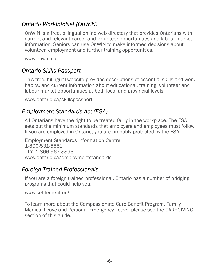## *Ontario WorkinfoNet (OnWIN)*

OnWIN is a free, bilingual online web directory that provides Ontarians with current and relevant career and volunteer opportunities and labour market information. Seniors can use OnWIN to make informed decisions about volunteer, employment and further training opportunities.

[www.onwin.ca](http://www.onwin.ca)

## *Ontario Skills Passport*

This free, bilingual website provides descriptions of essential skills and work habits, and current information about educational, training, volunteer and labour market opportunities at both local and provincial levels.

[www.ontario.ca/skillspassport](http://www.ontario.ca/skillspassport)

## *Employment Standards Act (ESA)*

All Ontarians have the right to be treated fairly in the workplace. The ESA sets out the minimum standards that employers and employees must follow. If you are employed in Ontario, you are probably protected by the ESA.

Employment Standards Information Centre 1-800-531-5551 TTY: 1-866-567-8893 [www.ontario.ca/employmentstandards](http://www.ontario.ca/employmentstandards)

#### *Foreign Trained Professionals*

If you are a foreign trained professional, Ontario has a number of bridging programs that could help you.

[www.settlement.org](http://www.settlement.org)

To learn more about the Compassionate Care Benefit Program, Family Medical Leave and Personal Emergency Leave, please see the CAREGIVING section of this guide.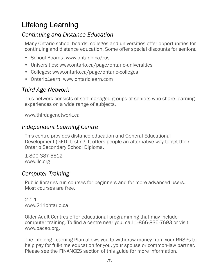# <span id="page-13-0"></span>Lifelong Learning

## *Continuing and Distance Education*

Many Ontario school boards, colleges and universities offer opportunities for continuing and distance education. Some offer special discounts for seniors.

- School Boards: [www.ontario.ca/rus](http://www.ontario.ca/rus)
- Universities: [www.ontario.ca/page/ontario-universities](http://www.ontario.ca/page/ontario-universities)
- Colleges: [www.ontario.ca/page/ontario-colleges](http://www.ontario.ca/page/ontario-colleges)
- Ontario*Learn*: [www.ontariolearn.com](http://www.ontariolearn.com)

## *Third Age Network*

This network consists of self-managed groups of seniors who share learning experiences on a wide range of subjects.

[www.thirdagenetwork.ca](http://www.thirdagenetwork.ca)

#### *Independent Learning Centre*

This centre provides distance education and General Educational Development (GED) testing. It offers people an alternative way to get their Ontario Secondary School Diploma.

1-800-387-5512 [www.ilc.org](http://www.ilc.org)

#### *Computer Training*

Public libraries run courses for beginners and for more advanced users. Most courses are free.

 $2 - 1 - 1$ [www.211ontario.ca](http://www.211ontario.ca)

Older Adult Centres offer educational programming that may include computer training. To find a centre near you, call 1-866-835-7693 or visit [www.oacao.org.](http://www.oacao.org)

The Lifelong Learning Plan allows you to withdraw money from your RRSPs to help pay for full-time education for you, your spouse or common-law partner. Please see the FINANCES section of this guide for more information.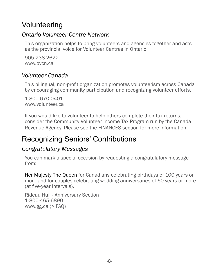# <span id="page-14-0"></span>Volunteering

#### *Ontario Volunteer Centre Network*

This organization helps to bring volunteers and agencies together and acts as the provincial voice for Volunteer Centres in Ontario.

905-238-2622 [www.ovcn.ca](http://www.ovcn.ca)

## *Volunteer Canada*

This bilingual, non-profit organization promotes volunteerism across Canada by encouraging community participation and recognizing volunteer efforts.

1-800-670-0401 [www.volunteer.ca](http://www.volunteer.ca)

If you would like to volunteer to help others complete their tax returns, consider the Community Volunteer Income Tax Program run by the Canada Revenue Agency. Please see the FINANCES section for more information.

# Recognizing Seniors' Contributions

## *Congratulatory Messages*

You can mark a special occasion by requesting a congratulatory message from:

Her Majesty The Queen for Canadians celebrating birthdays of 100 years or more and for couples celebrating wedding anniversaries of 60 years or more (at five-year intervals).

Rideau Hall - Anniversary Section 1-800-465-6890 [www.gg.ca](http://www.gg.ca)  $($  > FAQ $)$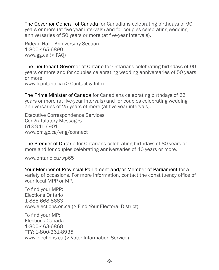The Governor General of Canada for Canadians celebrating birthdays of 90 years or more (at five-year intervals) and for couples celebrating wedding anniversaries of 50 years or more (at five-year intervals).

Rideau Hall - Anniversary Section 1-800-465-6890 [www.gg.ca](http://www.gg.ca)  $($  > FAO)

The Lieutenant Governor of Ontario for Ontarians celebrating birthdays of 90 years or more and for couples celebrating wedding anniversaries of 50 years or more. www.lgontario.ca (> Contact & Info)

The Prime Minister of Canada for Canadians celebrating birthdays of 65 years or more (at five-year intervals) and for couples celebrating wedding anniversaries of 25 years of more (at five-year intervals).

Executive Correspondence Services Congratulatory Messages 613-941-6901 www.pm.gc.ca/eng/connect

The Premier of Ontario for Ontarians celebrating birthdays of 80 years or more and for couples celebrating anniversaries of 40 years or more.

[www.ontario.ca/wp65](http://www.ontario.ca/wp65)

Your Member of Provincial Parliament and/or Member of Parliament for a variety of occasions. For more information, contact the constituency office of your local MPP or MP.

To find your MPP: Elections Ontario 1-888-668-8683 [www.elections.on.ca](http://www.elections.on.ca) (> Find Your Electoral District)

To find your MP: Elections Canada 1-800-463-6868 TTY: 1-800-361-8935 [www.elections.ca](http://www.elections.ca) (> Voter Information Service)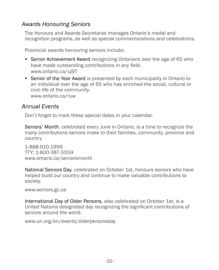## <span id="page-16-0"></span>*Awards Honouring Seniors*

The Honours and Awards Secretariat manages Ontario's medal and recognition programs, as well as special commemorations and celebrations.

Provincial awards honouring seniors include:

- Senior Achievement Award [recognizing Ontarians over the age of 65 who](http://www.ontario.ca/ruv)  [have made outstanding contributions in any field.](http://www.ontario.ca/ruv) [www.ontario.ca/](http://www.ontario.ca/ruv)uj97
- Senior of the Year Award is presented by each municipality in Ontario to an individual over the age of 65 who has enriched the social, cultural or civic life of the community. [www.ontario.ca/ruw](http://www.ontario.ca/ruw)

#### *Annual Events*

Don't forget to mark these special dates in your calendar.

Seniors' Month, celebrated every June in Ontario, is a time to recognize the many contributions seniors make to their families, community, province and country.

1-888-910-1999 TTY: 1-800-387-5559 [www.ontario.ca/seniorsmonth](http://www.ontario.ca/seniorsmonth)

National Seniors Day, celebrated on October 1st, honours seniors who have helped build our country and continue to make valuable contributions to society.

[www.seniors.gc.ca](http://www.seniors.gc.ca)

International Day of Older Persons, also celebrated on October 1st, is a United Nations designated day recognizing the significant contributions of seniors around the world.

www.un.org/en/events/olderpersonsday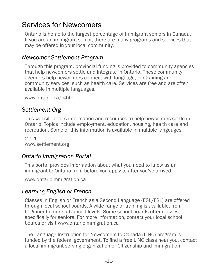# Services for Newcomers

Ontario is home to the largest percentage of immigrant seniors in Canada. If you are an immigrant senior, there are many programs and services that may be offered in your local community.

#### *Newcomer Settlement Program*

Through this program, provincial funding is provided to community agencies that help newcomers settle and integrate in Ontario. These community agencies help newcomers connect with language, job training and community services, such as health care. Services are free and are often available in multiple languages.

[www.ontario.ca/p449](http://www.ontario.ca/p449)

## *Settlement.Org*

This website offers information and resources to help newcomers settle in Ontario. Topics include employment, education, housing, health care and recreation. Some of this information is available in multiple languages.

 $2 - 1 - 1$ [www.settlement.org](http://www.settlement.org)

## *Ontario Immigration Portal*

This portal provides information about what you need to know as an immigrant to Ontario from before you apply to after you've arrived.

[www.ontarioimmigration.ca](http://www.ontarioimmigration.ca)

## *Learning English or French*

Classes in English or French as a Second Language (ESL/FSL) are offered through local school boards. A wide range of training is available, from beginner to more advanced levels. Some school boards offer classes specifically for seniors. For more information, contact your local school boards or visit [www.ontarioimmigration.ca](http://www.ontarioimmigration.ca)

The Language Instruction for Newcomers to Canada (LINC) program is funded by the federal government. To find a free LINC class near you, contact a local immigrant-serving organization or Citizenship and Immigration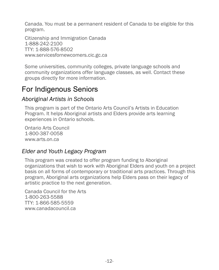<span id="page-18-0"></span>Canada. You must be a permanent resident of Canada to be eligible for this program.

Citizenship and Immigration Canada 1-888-242-2100 TTY: 1-888-576-8502 [www.servicesfornewcomers.cic.gc.ca](http://www.servicesfornewcomers.cic.gc.ca)

Some universities, community colleges, private language schools and community organizations offer language classes, as well. Contact these groups directly for more information.

# For Indigenous Seniors

#### *Aboriginal Artists in Schools*

This program is part of the Ontario Arts Council's Artists in Education Program. It helps Aboriginal artists and Elders provide arts learning experiences in Ontario schools.

Ontario Arts Council 1-800-387-0058 [www.arts.on.ca](http://www.arts.on.ca)

## *Elder and Youth Legacy Program*

This program was created to offer program funding to Aboriginal organizations that wish to work with Aboriginal Elders and youth on a project basis on all forms of contemporary or traditional arts practices. Through this program, Aboriginal arts organizations help Elders pass on their legacy of artistic practice to the next generation.

Canada Council for the Arts 1-800-263-5588 TTY: 1-866-585-5559 [www.canadacouncil.ca](http://www.canadacouncil.ca/grants/aboriginal)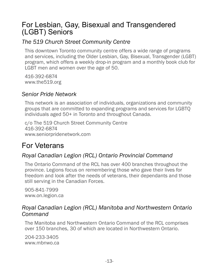# <span id="page-19-0"></span>For Lesbian, Gay, Bisexual and Transgendered (LGBT) Seniors

## *The 519 Church Street Community Centre*

This downtown Toronto community centre offers a wide range of programs and services, including the Older Lesbian, Gay, Bisexual, Transgender (LGBT) program, which offers a weekly drop-in program and a monthly book club for LGBT men and women over the age of 50.

416-392-6874 [www.the519.org](http://www.the519.org)

#### *Senior Pride Network*

This network is an association of individuals, organizations and community groups that are committed to expanding programs and services for LGBTQ individuals aged 50+ in Toronto and throughout Canada.

c/o The 519 Church Street Community Centre 416-392-6874 [www.seniorpridenetwork.com](http://www.seniorpridenetwork.com)

# For Veterans

## *Royal Canadian Legion (RCL) Ontario Provincial Command*

The Ontario Command of the RCL has over 400 branches throughout the province. Legions focus on remembering those who gave their lives for freedom and look after the needs of veterans, their dependants and those still serving in the Canadian Forces.

905-841-7999 [www.on.legion.ca](http://www.on.legion.ca)

## *Royal Canadian Legion (RCL) Manitoba and Northwestern Ontario Command*

The Manitoba and Northwestern Ontario Command of the RCL comprises over 150 branches, 30 of which are located in Northwestern Ontario.

204-233-3405 [www.mbnwo.ca](http://www.mbnwo.ca)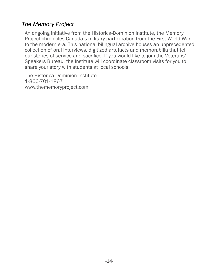## *The Memory Project*

An ongoing initiative from the Historica-Dominion Institute, the Memory Project chronicles Canada's military participation from the First World War to the modern era. This national bilingual archive houses an unprecedented collection of oral interviews, digitized artefacts and memorabilia that tell our stories of service and sacrifice. If you would like to join the Veterans' Speakers Bureau, the Institute will coordinate classroom visits for you to share your story with students at local schools.

The Historica-Dominion Institute 1-866-701-1867 [www.thememoryproject.com](http://www.thememoryproject.com)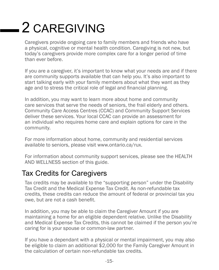# <span id="page-21-0"></span>2 CAREGIVING

Caregivers provide ongoing care to family members and friends who have a physical, cognitive or mental health condition. Caregiving is not new, but today's caregivers provide more complex care for a longer period of time than ever before.

If you are a caregiver, it's important to know what your needs are and if there are community supports available that can help you. It's also important to start talking early with your family members about what they want as they age and to stress the critical role of legal and financial planning.

In addition, you may want to learn more about home and community care services that serve the needs of seniors, the frail elderly and others. Community Care Access Centres (CCAC) and Community Support Services deliver these services. Your local CCAC can provide an assessment for an individual who requires home care and explain options for care in the community.

For more information about home, community and residential services available to seniors, please visit [www.ontario.ca/rux.](http://www.ontario.ca/rux)

For information about community support services, please see the HEALTH AND WELLNESS section of this guide.

# Tax Credits for Caregivers

Tax credits may be available to the "supporting person" under the Disability Tax Credit and the Medical Expense Tax Credit. As non-refundable tax credits, these credits can reduce the amount of federal or provincial tax you owe, but are not a cash benefit.

In addition, you may be able to claim the Caregiver Amount if you are maintaining a home for an eligible dependent relative. Unlike the Disability and Medical Expense Tax Credits, this cannot be claimed if the person you're caring for is your spouse or common-law partner.

If you have a dependant with a physical or mental impairment, you may also be eligible to claim an additional \$2,000 for the Family Caregiver Amount in the calculation of certain non-refundable tax credits.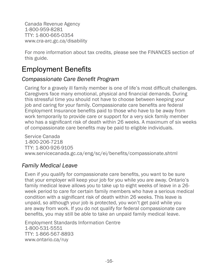<span id="page-22-0"></span>Canada Revenue Agency 1-800-959-8281 TTY: 1-800-665-0354 [www.cra-arc.gc.ca/disability](http://www.cra-arc.gc.ca/disability)

For more information about tax credits, please see the FINANCES section of this guide.

# Employment Benefits

#### *Compassionate Care Benefit Program*

Caring for a gravely ill family member is one of life's most difficult challenges. Caregivers face many emotional, physical and financial demands. During this stressful time you should not have to choose between keeping your job and caring for your family. Compassionate care benefits are federal Employment Insurance benefits paid to those who have to be away from work temporarily to provide care or support for a very sick family member who has a significant risk of death within 26 weeks. A maximum of six weeks of compassionate care benefits may be paid to eligible individuals.

Service Canada 1-800-206-7218 TTY: 1-800-926-9105 www.servicecanada.gc.ca/eng/sc/ei/benefits/compassionate.shtml

## *Family Medical Leave*

Even if you qualify for compassionate care benefits, you want to be sure that your employer will keep your job for you while you are away. Ontario's family medical leave allows you to take up to eight weeks of leave in a 26 week period to care for certain family members who have a serious medical condition with a significant risk of death within 26 weeks. This leave is unpaid, so although your job is protected, you won't get paid while you are away from work. If you do not qualify for federal compassionate care benefits, you may still be able to take an unpaid family medical leave.

Employment Standards Information Centre 1-800-531-5551 TTY: 1-866-567-8893 [www.ontario.ca/ruy](http://www.ontario.ca/ruy)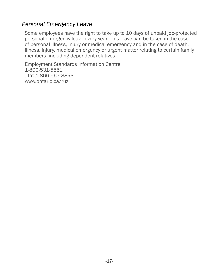#### *Personal Emergency Leave*

Some employees have the right to take up to 10 days of unpaid job-protected personal emergency leave every year. This leave can be taken in the case of personal illness, injury or medical emergency and in the case of death, illness, injury, medical emergency or urgent matter relating to certain family members, including dependent relatives.

Employment Standards Information Centre 1-800-531-5551 TTY: 1-866-567-8893 [www.ontario.ca/ruz](http://www.ontario.ca/ruz)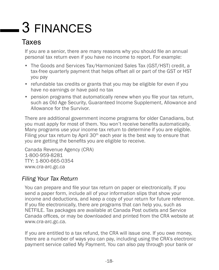# <span id="page-24-0"></span>3 FINANCES

# Taxes

If you are a senior, there are many reasons why you should file an annual personal tax return even if you have no income to report. For example:

- The Goods and Services Tax/Harmonized Sales Tax (GST/HST) credit, a tax-free quarterly payment that helps offset all or part of the GST or HST you pay
- refundable tax credits or grants that you may be eligible for even if you have no earnings or have paid no tax
- pension programs that automatically renew when you file your tax return, such as Old Age Security, Guaranteed Income Supplement, Allowance and Allowance for the Survivor.

There are additional government income programs for older Canadians, but you must apply for most of them. You won't receive benefits automatically. Many programs use your income tax return to determine if you are eligible. Filing your tax return by April  $30<sup>th</sup>$  each year is the best way to ensure that you are getting the benefits you are eligible to receive.

Canada Revenue Agency (CRA) 1-800-959-8281 TTY: 1-800-665-0354 [www.cra-arc.gc.ca](http://www.cra-arc.gc.ca)

## *Filing Your Tax Return*

You can prepare and file your tax return on paper or electronically. If you send a paper form, include all of your information slips that show your income and deductions, and keep a copy of your return for future reference. If you file electronically, there are programs that can help you, such as NETFILE. Tax packages are available at Canada [Post outlets](http://www.canadapost.ca/cpotools/apps/fpo/personal/findPostOffice) and [Service](http://www.servicecanada.ca/offices)  [Canada offices](http://www.servicecanada.ca/offices), or may be downloaded and printed from the CRA website at [www.cra-arc.gc.ca](http://www.cra-arc.gc.ca).

If you are entitled to a tax refund, the CRA will issue one. If you owe money, there are a number of ways you can pay, including using the CRA's electronic payment service called My Payment. You can also pay through your bank or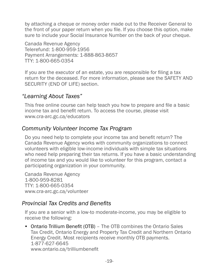by attaching a cheque or money order made out to the Receiver General to the front of your paper return when you file. If you choose this option, make sure to include your Social Insurance Number on the back of your cheque.

Canada Revenue Agency Telerefund: 1-800-959-1956 Payment Arrangements: 1-888-863-8657 TTY: 1-800-665-0354

If you are the executor of an estate, you are responsible for filing a tax return for the deceased. For more information, please see the SAFETY AND SECURITY (END OF LIFE) section.

## *"Learning About Taxes"*

This free online course can help teach you how to prepare and file a basic income tax and benefit return. To access the course, please visit [www.cra-arc.gc.ca/educators](http://www.cra-arc.gc.ca/educators)

## *Community Volunteer Income Tax Program*

Do you need help to complete your income tax and benefit return? The Canada Revenue Agency works with community organizations to connect volunteers with eligible low-income individuals with simple tax situations who need help preparing their tax returns. If you have a basic understanding of income tax and you would like to volunteer for this program, contact a participating organization in your community.

Canada Revenue Agency 1-800-959-8281 TTY: 1-800-665-0354 [www.cra-arc.gc.ca/volunteer](http://www.cra-arc.gc.ca/volunteer)

#### *Provincial Tax Credits and Benefits*

If you are a senior with a low-to moderate-income, you may be eligible to receive the following:

• Ontario Trillium Benefit (OTB) – The OTB combines the Ontario Sales Tax Credit, Ontario Energy and Property Tax Credit and Northern Ontario Energy Credit. Most recipients receive monthly OTB payments. 1-877-627-6645 www.ontario.ca/trilliumbenefit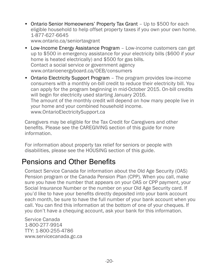- <span id="page-26-0"></span>• Ontario Senior Homeowners' Property Tax Grant - Up to \$500 for each eligible household to help offset property taxes if you own your own home. 1-877-627-6645 [www.ontario.ca/seniortaxgrant](http://www.ontario.ca/seniortaxgrant)
- Low-Income Energy Assistance Program Low-income customers can get up to \$500 in emergency assistance for your electricity bills (\$600 if your home is heated electrically) and \$500 for gas bills. Contact a social service or government agency [www.ontarioenergyboard.ca/](http://www.ontarioenergyboard.ca/OEB/consumers)OEB/consumers
- Ontario Electricity Support Program The program provides low-income consumers with a monthly on-bill credit to reduce their electricity bill. You can apply for the program beginning in mid-October 2015. On-bill credits will begin for electricity used starting January 2016. The amount of the monthly credit will depend on how many people live in your home and your combined household income. [www.O](http://www.OntarioElectricitySupport.ca)ntarioElectricitySupport.ca

Caregivers may be eligible for the Tax Credit for Caregivers and other benefits. Please see the CAREGIVING section of this guide for more information.

For information about property tax relief for seniors or people with disabilities, please see the HOUSING section of this guide.

# Pensions and Other Benefits

Contact Service Canada for information about the Old Age Security (OAS) Pension program or the Canada Pension Plan (CPP). When you call, make sure you have the number that appears on your OAS or CPP payment, your Social Insurance Number or the number on your Old Age Security card. If you'd like to have your benefits directly deposited into your bank account each month, be sure to have the full number of your bank account when you call. You can find this information at the bottom of one of your cheques. If you don't have a chequing account, ask your bank for this information.

Service Canada 1-800-277-9914 TTY: 1-800-255-4786 [www.servicecanada.gc.ca](http://www.servicecanada.gc.ca)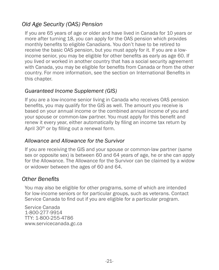# *Old Age Security (OAS) Pension*

If you are 65 years of age or older and have lived in Canada for 10 years or more after turning 18, you can apply for the OAS pension which provides monthly benefits to eligible Canadians. You don't have to be retired to receive the basic OAS pension, but you must apply for it. If you are a lowincome senior, you may be eligible for other benefits as early as age 60. If you lived or worked in another country that has a social security agreement with Canada, you may be eligible for benefits from Canada or from the other country. For more information, see the section on International Benefits in this chapter.

#### *Guaranteed Income Supplement (GIS)*

If you are a low-income senior living in Canada who receives OAS pension benefits, you may qualify for the GIS as well. The amount you receive is based on your annual income or the combined annual income of you and your spouse or common-law partner. You must apply for this benefit and renew it every year, either automatically by filing an income tax return by April 30<sup>th</sup> or by filling out a renewal form.

#### *Allowance and Allowance for the Survivor*

If you are receiving the GIS and your spouse or common-law partner (same sex or opposite sex) is between 60 and 64 years of age, he or she can apply for the Allowance. The Allowance for the Survivor can be claimed by a widow or widower between the ages of 60 and 64.

#### *Other Benefits*

You may also be eligible for other programs, some of which are intended for low-income seniors or for particular groups, such as veterans. Contact Service Canada to find out if you are eligible for a particular program.

Service Canada 1-800-277-9914 TTY: 1-800-255-4786 [www.servicecanada.gc.ca](http://www.servicecanada.gc.ca)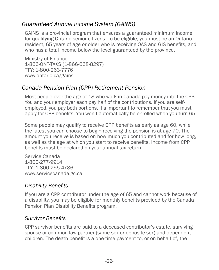## *Guaranteed Annual Income System (GAINS)*

GAINS is a provincial program that ensures a guaranteed minimum income for qualifying Ontario senior citizens. To be eligible, you must be an Ontario resident, 65 years of age or older who is receiving OAS and GIS benefits, and who has a total income below the level guaranteed by the province.

Ministry of Finance 1-866-ONT-TAXS (1-866-668-8297) TTY: 1-800-263-7776 [www.ontario.ca/gains](http://www.ontario.ca/gains)

#### *Canada Pension Plan (CPP) Retirement Pension*

Most people over the age of 18 who work in Canada pay money into the CPP. You and your employer each pay half of the contributions. If you are selfemployed, you pay both portions. It's important to remember that you must apply for CPP benefits. You won't automatically be enrolled when you turn 65.

Some people may qualify to receive CPP benefits as early as age 60, while the latest you can choose to begin receiving the pension is at age 70. The amount you receive is based on how much you contributed and for how long, as well as the age at which you start to receive benefits. Income from CPP benefits must be declared on your annual tax return.

Service Canada 1-800-277-9914 TTY: 1-800-255-4786 [www.servicecanada.gc.ca](http://www.servicecanada.gc.ca/eng/sc/cpp/retirement/canadapension.shtml)

#### *Disability Benefits*

If you are a CPP contributor under the age of 65 and cannot work because of a disability, you may be eligible for monthly benefits provided by the Canada Pension Plan Disability Benefits program.

#### *Survivor Benefits*

CPP survivor benefits are paid to a deceased contributor's estate, surviving spouse or common-law partner (same sex or opposite sex) and dependent children. The death benefit is a one-time payment to, or on behalf of, the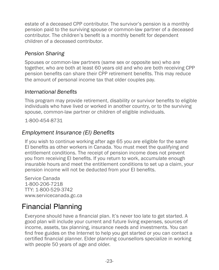<span id="page-29-0"></span>estate of a deceased CPP contributor. The survivor's pension is a monthly pension paid to the surviving spouse or common-law partner of a deceased contributor. The children's benefit is a monthly benefit for dependent children of a deceased contributor.

#### *Pension Sharing*

Spouses or common-law partners (same sex or opposite sex) who are together, who are both at least 60 years old and who are both receiving CPP pension benefits can share their CPP retirement benefits. This may reduce the amount of personal income tax that older couples pay.

#### *International Benefits*

This program may provide retirement, disability or survivor benefits to eligible individuals who have lived or worked in another country, or to the surviving spouse, common-law partner or children of eligible individuals.

1-800-454-8731

#### *Employment Insurance (EI) Benefits*

If you wish to continue working after age 65 you are eligible for the same EI benefits as other workers in Canada. You must meet the qualifying and entitlement conditions. The receipt of pension income does not prevent you from receiving EI benefits. If you return to work, accumulate enough insurable hours and meet the entitlement conditions to set up a claim, your pension income will not be deducted from your EI benefits.

Service Canada 1-800-206-7218 TTY: 1-800-529-3742 [www.servicecanada.gc.ca](http://www.servicecanada.gc.ca/eng/sc/ei)

# Financial Planning

Everyone should have a financial plan. It's never too late to get started. A good plan will include your current and future living expenses, sources of income, assets, tax planning, insurance needs and investments. You can find free guides on the Internet to help you get started or you can contact a certified financial planner. Elder planning counsellors specialize in working with people 50 years of age and older.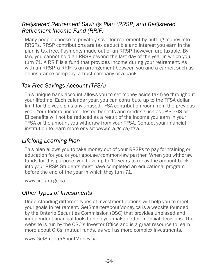## <span id="page-30-0"></span>*Registered Retirement Savings Plan (RRSP) and Registered Retirement Income Fund (RRIF)*

Many people choose to privately save for retirement by putting money into RRSPs. RRSP contributions are tax deductible and interest you earn in the plan is tax free. Payments made out of an RRSP, however, are taxable. By law, you cannot hold an RRSP beyond the last day of the year in which you turn 71. A RRIF is a fund that provides income during your retirement. As with an RRSP, a RRIF is an arrangement between you and a carrier, such as an insurance company, a trust company or a bank.

## *Tax-Free Savings Account (TFSA)*

This unique bank account allows you to set money aside tax-free throughout your lifetime. Each calendar year, you can contribute up to the TFSA dollar limit for the year, plus any unused TFSA contribution room from the previous year. Your federal income-tested benefits and credits such as OAS, GIS or EI benefits will not be reduced as a result of the income you earn in your TFSA or the amount you withdraw from your TFSA. Contact your financial institution to learn more or visit [www.cra.gc.ca/tfsa](http://www.cra.gc.ca/tfsa).

## *Lifelong Learning Plan*

This plan allows you to take money out of your RRSPs to pay for training or education for you or your spouse/common-law partner. When you withdraw funds for this purpose, you have up to 10 years to repay the amount back into your RRSP. Students must have completed an educational program before the end of the year in which they turn 71.

[www.cra-arc.gc.ca](http://www.cra-arc.gc.ca/tx/ndvdls/tpcs/rrsp-reer/llp-reep/menu-eng.html)

## *Other Types of Investments*

Understanding different types of investment options will help you to meet your goals in retirement. GetSmarterAboutMoney.ca is a website founded by the Ontario Securities Commission (OSC) that provides unbiased and independent financial tools to help you make better financial decisions. The website is run by the OSC's Investor Office and is a great resource to learn more about GICs, mutual funds, as well as more complex investments.

[www.](http://www.cra-arc.gc.ca/tx/ndvdls/tpcs/rrsp-reer/llp-reep/menu-eng.html)GetSmarterAboutMoney.ca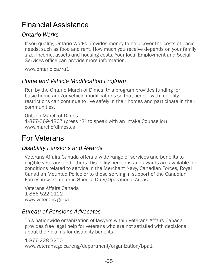# <span id="page-31-0"></span>Financial Assistance

#### *Ontario Works*

If you qualify, Ontario Works provides money to help cover the costs of basic needs, such as food and rent. How much you receive depends on your family size, income, assets and housing costs. Your local Employment and Social Services office can provide more information.

[www.ontario.ca/ru1](http://www.ontario.ca/ru1)

#### *Home and Vehicle Modification Program*

Run by the Ontario March of Dimes, this program provides funding for basic home and/or vehicle modifications so that people with mobility restrictions can continue to live safely in their homes and participate in their communities.

Ontario March of Dimes 1-877-369-4867 (press "2" to speak with an Intake Counsellor) [www.marchofdimes.ca](http://www.marchofdimes.ca/EN/programs/hvmp/Pages/HomeandVehicle.aspx)

# For Veterans

#### *Disability Pensions and Awards*

Veterans Affairs Canada offers a wide range of services and benefits to eligible veterans and others. Disability pensions and awards are available for conditions related to service in the Merchant Navy, Canadian Forces, Royal Canadian Mounted Police or to those serving in support of the Canadian Forces in wartime or in Special Duty/Operational Areas.

Veterans Affairs Canada 1-866-522-2122 [www.veterans.gc.ca](http://www.veterans.gc.ca)

## *Bureau of Pensions Advocates*

This nationwide organization of lawyers within Veterans Affairs Canada provides free legal help for veterans who are not satisfied with decisions about their claims for disability benefits.

1-877-228-2250 www.veterans.gc.ca/eng/department/organization/bpa1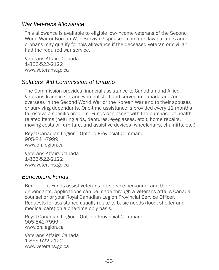#### *War Veterans Allowance*

This allowance is available to eligible low-income veterans of the Second World War or Korean War. Surviving spouses, common-law partners and orphans may qualify for this allowance if the deceased veteran or civilian had the required war service.

Veterans Affairs Canada 1-866-522-2122 [www.veterans.gc.ca](http://www.veterans.gc.ca)

#### *Soldiers' Aid Commission of Ontario*

The Commission provides financial assistance to Canadian and Allied Veterans living in Ontario who enlisted and served in Canada and/or overseas in the Second World War or the Korean War and to their spouses or surviving dependants. One-time assistance is provided every 12 months to resolve a specific problem. Funds can assist with the purchase of healthrelated items (hearing aids, dentures, eyeglasses, etc.), home repairs, moving costs or furniture, and assistive devices (wheelchairs, chairlifts, etc.).

Royal Canadian Legion - Ontario Provincial Command 905-841-7999 [www.on.legion.ca](http://www.on.legion.ca)

Veterans Affairs Canada 1-866-522-2122 [www.veterans.gc.ca](http://www.veterans.gc.ca)

#### *Benevolent Funds*

Benevolent Funds assist veterans, ex-service personnel and their dependants. Applications can be made through a Veterans Affairs Canada counsellor or your Royal Canadian Legion Provincial Service Officer. Requests for assistance usually relate to basic needs (food, shelter and medical care) on a one-time only basis.

Royal Canadian Legion - Ontario Provincial Command 905-841-7999 [www.on.legion.ca](http://www.on.legion.ca)

Veterans Affairs Canada 1-866-522-2122 [www.veterans.gc.ca](http://www.veterans.gc.ca)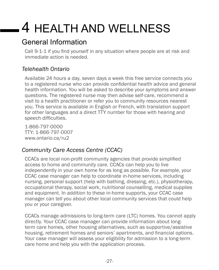# <span id="page-33-0"></span>4 HEALTH AND WELLNESS

# General Information

Call 9-1-1 if you find yourself in any situation where people are at risk and immediate action is needed.

# *Telehealth Ontario*

Available 24 hours a day, seven days a week this free service connects you to a registered nurse who can provide confidential health advice and general health information. You will be asked to describe your symptoms and answer questions. The registered nurse may then advise self-care, recommend a visit to a health practitioner or refer you to community resources nearest you. This service is available in English or French, with translation support for other languages and a direct TTY number for those with hearing and speech difficulties.

1-866-797-0000 TTY: 1-866-797-0007 [www.ontario.ca/ru2](http://www.ontario.ca/ru2)

# *Community Care Access Centre (CCAC)*

CCACs are local non-profit community agencies that provide simplified access to home and community care. CCACs can help you to live independently in your own home for as long as possible. For example, your CCAC case manager can help to coordinate in-home services, including nursing, personal support (help with bathing, dressing, etc.), physiotherapy, occupational therapy, social work, nutritional counselling, medical supplies and equipment. In addition to these in-home supports, your CCAC case manager can tell you about other local community services that could help you or your caregiver.

CCACs manage admissions to long-term care (LTC) homes. You cannot apply directly. Your CCAC case manager can provide information about longterm care homes, other housing alternatives, such as supportive/assistive housing, retirement homes and seniors' apartments, and financial options. Your case manager will assess your eligibility for admission to a long-term care home and help you with the application process.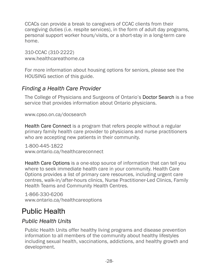<span id="page-34-0"></span>CCACs can provide a break to caregivers of CCAC clients from their caregiving duties (i.e. respite services), in the form of adult day programs, personal support worker hours/visits, or a short-stay in a long-term care home.

310-CCAC (310-2222) [www.healthcareathome.ca](http://www.310CCAC.ca)

For more information about housing options for seniors, please see the HOUSING section of this guide.

#### *Finding a Health Care Provider*

The College of Physicians and Surgeons of Ontario's Doctor Search is a free service that provides information about Ontario physicians.

[www.cpso.on.ca/docsearch](http://www.cpso.on.ca/docsearch)

Health Care Connect is a program that refers people without a regular primary family health care provider to physicians and nurse practitioners who are accepting new patients in their community.

1-800-445-1822 [www.ontario.ca/healthcareconnect](http://www.ontario.ca/healthcareconnect)

Health Care Options is a one-stop source of information that can tell you where to seek immediate health care in your community. Health Care Options provides a list of primary care resources, including urgent care centres, walk-in/after-hours clinics, Nurse Practitioner-Led Clinics, Family Health Teams and Community Health Centres.

1-866-330-6206 www.ontario.ca/healthcareoptions

# Public Health

## *Public Health Units*

Public Health Units offer healthy living programs and disease prevention information to all members of the community about healthy lifestyles including sexual health, vaccinations, addictions, and healthy growth and development.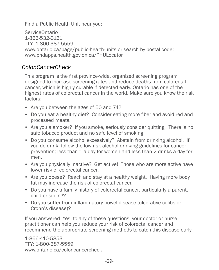Find a Public Health Unit near you:

ServiceOntario 1-866-532-3161 TTY: 1-800-387-5559 [www.ontario.ca/page/public-health-units](https://www.ontario.ca/page/public-health-units) or search by postal code: www.phdapps.health.gov.on.ca/PHULocator

#### *ColonCancerCheck*

This program is the first province-wide, organized screening program designed to increase screening rates and reduce deaths from colorectal cancer, which is highly curable if detected early. Ontario has one of the highest rates of colorectal cancer in the world. Make sure you know the risk factors:

- Are you between the ages of 50 and 74?
- Do you eat a healthy diet? Consider eating more fiber and avoid red and processed meats.
- Are you a smoker? If you smoke, seriously consider quitting. There is no safe tobacco product and no safe level of smoking.
- Do you consume alcohol excessively? Abstain from drinking alcohol. If you do drink, follow the low-risk alcohol drinking guidelines for cancer prevention; less than 1 a day for women and less than 2 drinks a day for men.
- Are you physically inactive? Get active! Those who are more active have lower risk of colorectal cancer.
- Are you obese? Reach and stay at a healthy weight. Having more body fat may increase the risk of colorectal cancer.
- Do you have a family history of colorectal cancer, particularly a parent, child or sibling?
- Do you suffer from inflammatory bowel disease (ulcerative colitis or Crohn's disease)?

If you answered 'Yes' to any of these questions, your doctor or nurse practitioner can help you reduce your risk of colorectal cancer and recommend the appropriate screening methods to catch this disease early.

1-866-410-5853 TTY: 1-800-387-5559 [www.ontario.ca/coloncancercheck](http://www.ontario.ca/coloncancercheck)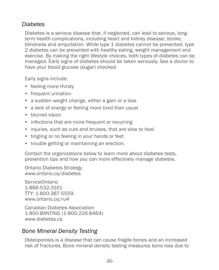## *Diabetes*

Diabetes is a serious disease that, if neglected, can lead to serious, longterm health complications, including heart and kidney disease, stroke, blindness and amputation. While type 1 diabetes cannot be prevented, type 2 diabetes can be prevented with healthy eating, weight management and exercise. By making the right lifestyle choices, both types of diabetes can be managed. Early signs of diabetes should be taken seriously. See a doctor to have your blood glucose (sugar) checked.

Early signs include:

- feeling more thirsty
- frequent urination
- a sudden weight change, either a gain or a loss
- a lack of energy or feeling more tired than usual
- blurred vision
- infections that are more frequent or recurring
- injuries, such as cuts and bruises, that are slow to heal
- tingling or no feeling in your hands or feet
- trouble getting or maintaining an erection.

Contact the organizations below to learn more about diabetes tests, prevention tips and how you can more effectively manage diabetes.

Ontario Diabetes Strategy www.ontario.ca/diabetes

ServiceOntario 1-866-532-3161 TTY: 1-800-387-5559 [www.ontario.ca/ru4](http://www.ontario.ca/ru4)

Canadian Diabetes Association 1-800-BANTING (1-800-226-8464) [www.diabetes.ca](http://www.diabetes.ca)

#### *Bone Mineral Density Testing*

Osteoporosis is a disease that can cause fragile bones and an increased risk of fractures. Bone mineral density testing measures bone loss due to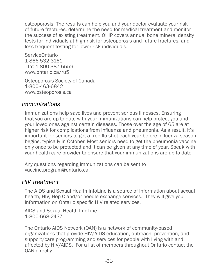osteoporosis. The results can help you and your doctor evaluate your risk of future fractures, determine the need for medical treatment and monitor the success of existing treatment. OHIP covers annual bone mineral density tests for individuals at high risk for osteoporosis and future fractures, and less frequent testing for lower-risk individuals.

ServiceOntario 1-866-532-3161 TTY: 1-800-387-5559 [www.ontario.ca/ru5](http://www.ontario.ca/ru5)

Osteoporosis Society of Canada 1-800-463-6842 [www.osteoporosis.ca](http://www.osteoporosis.ca)

#### *Immunizations*

Immunizations help save lives and prevent serious illnesses. Ensuring that you are up to date with your immunizations can help protect you and your loved ones against certain diseases. Those over the age of 65 are at higher risk for complications from influenza and pneumonia. As a result, it's important for seniors to get a free flu shot each year before influenza season begins, typically in October. Most seniors need to get the pneumonia vaccine only once to be protected and it can be given at any time of year. Speak with your health care provider to ensure that your immunizations are up to date.

Any questions regarding immunizations can be sent to vaccine.program@ontario.ca.

#### *HIV Treatment*

The AIDS and Sexual Health InfoLine is a source of information about sexual health, HIV, Hep C and/or needle exchange services. They will give you information on Ontario specific HIV related services.

AIDS and Sexual Health InfoLine 1-800-668-2437

The Ontario AIDS Network (OAN) is a network of community-based organizations that provide HIV/AIDS education, outreach, prevention, and support/care programming and services for people with living with and affected by HIV/AIDS. For a list of members throughout Ontario contact the OAN directly.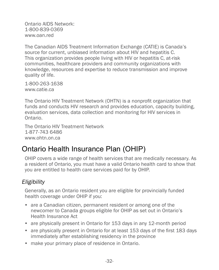Ontario AIDS Network: 1-800-839-0369 www.oan.red

The Canadian AIDS Treatment Information Exchange (CATIE) is Canada's source for current, unbiased information about HIV and hepatitis C. This organization provides people living with HIV or hepatitis C, at-risk communities, healthcare providers and community organizations with knowledge, resources and expertise to reduce transmission and improve quality of life.

1-800-263-1638 www.catie.ca

The Ontario HIV Treatment Network (OHTN) is a nonprofit organization that funds and conducts HIV research and provides education, capacity building, evaluation services, data collection and monitoring for HIV services in Ontario.

The Ontario HIV Treatment Network 1-877-743 6486 www.ohtn.on.ca

# Ontario Health Insurance Plan (OHIP)

OHIP covers a wide range of health services that are medically necessary. As a resident of Ontario, you must have a valid Ontario health card to show that you are entitled to health care services paid for by OHIP.

## *Eligibility*

Generally, as an Ontario resident you are eligible for provincially funded health coverage under OHIP if you:

- are a Canadian citizen, permanent resident or among one of the newcomer to Canada groups eligible for OHIP as set out in Ontario's Health Insurance Act
- are physically present in Ontario for 153 days in any 12-month period
- are physically present in Ontario for at least 153 days of the first 183 days immediately after establishing residency in the province
- make your primary place of residence in Ontario.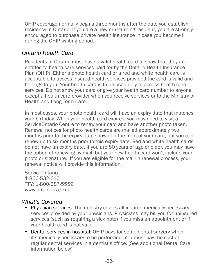OHIP coverage normally begins three months after the date you establish residency in Ontario. If you are a new or returning resident, you are strongly encouraged to purchase private health insurance in case you become ill during the OHIP waiting period.

#### *Ontario Health Card*

Residents of Ontario must have a valid health card to show that they are entitled to health care services paid for by the Ontario Health Insurance Plan (OHIP). Either a photo health card or a red and white health card is acceptable to access insured health services provided the card is valid and belongs to you. Your health card is to be used only to access health care services. Do not show your card or give your health card number to anyone except a health care provider when you receive services or to the Ministry of Health and Long-Term Care.

In most cases, your photo health card will have an expiry date that matches your birthday. When your health card expires, you may need to visit a ServiceOntario Centre to renew your card and have another photo taken. Renewal notices for photo health cards are mailed approximately two months prior to the expiry date shown on the front of your card, but you can renew up to six months prior to this expiry date. Red and white health cards do not have an expiry date. If you are 80 years of age or older, you may have the option of renewing by mail, but your new health card won't include your photo or signature. If you are eligible for the mail-in renewal process, your renewal notice will provide this information.

ServiceOntario 1-866-532-3161 TTY: 1-800-387-5559 [www.ontario.ca/exi2](http://ontario.ca/exi2)

#### *What's Covered*

- Physician services: The ministry covers all insured medically necessary services provided by your physicians. Physicians may bill you for uninsured services (such as requiring a sick note) if you miss an appointment or if your health card is not valid.
- Dental services in hospital: OHIP pays for some dental surgery when it's medically necessary to be performed. You must pay the cost of regular dental services in a dentist's office. (See additional Dental Care information below)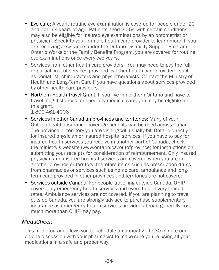- Eye care: A yearly routine eye examination is covered for people under 20 and over 64 years of age. Patients aged 20-64 with certain conditions may also be eligible for insured eye examinations by an optometrist or physician. Speak to your primary health care provider to learn more. If you are receiving assistance under the Ontario Disability Support Program, Ontario Works or the Family Benefits Program, you are covered for routine eye examinations once every two years.
- Services from other health care providers: You may need to pay the full or partial cost of services provided by other health care providers, such as podiatrist, chiropractors and physiotherapists. Contact the Ministry of Health and Long-Term Care if you have questions about services provided by other health care providers.
- Northern Health Travel Grant: If you live in northern Ontario and have to travel long distances for specialty medical care, you may be eligible for this grant.

1-800-461-4006

- Services in other Canadian provinces and territories: Many of your Ontario health insurance coverage benefits can be used across Canada. The province or territory you are visiting will usually bill Ontario directly for insured physician or insured hospital services. If you have to pay for insured health services you receive in another part of Canada, check the ministry's website (www.ontario.ca/outofprovince) for instructions on submitting your receipts for consideration of reimbursement. Only insured physician and insured hospital services are covered when you are in another province or territory; therefore items such as prescription drugs from pharmacies or services such as home care, ambulance and longterm care provided in other provinces and territories are not covered.
- Services outside Canada: For people travelling outside Canada, OHIP covers only emergency health services and even then at very limited rates. Ambulance services are not covered. If you are planning to travel outside Canada, you are strongly advised to purchase supplementary insurance as emergency health services provided abroad generally cost much more than OHIP may pay.

#### *MedsCheck*

This free program allows you to schedule an annual 20 to 30-minute oneon-one discussion with your pharmacist to make sure you're using all your medications in a safe and proper way.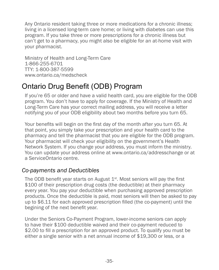Any Ontario resident taking three or more medications for a chronic illness; living in a licensed long-term care home; or living with diabetes can use this program. If you take three or more prescriptions for a chronic illness but can't get to a pharmacy, you might also be eligible for an at-home visit with your pharmacist.

Ministry of Health and Long-Term Care 1-866-255-6701 TTY: 1-800-387-5599 [www.ontario.ca/medscheck](http://www.ontario.ca/medscheck)

# Ontario Drug Benefit (ODB) Program

If you're 65 or older and have a valid health card, you are eligible for the ODB program. You don't have to apply for coverage. If the Ministry of Health and Long-Term Care has your correct mailing address, you will receive a letter notifying you of your ODB eligibility about two months before you turn 65.

Your benefits will begin on the first day of the month after you turn 65. At that point, you simply take your prescription and your health card to the pharmacy and tell the pharmacist that you are eligible for the ODB program. Your pharmacist will check your eligibility on the government's Health Network System. If you change your address, you must inform the ministry. You can update your address online at [www.ontario.ca/addresschange](http://www.ontario.ca/addresschange) or at a ServiceOntario centre.

## *Co-payments and Deductibles*

The ODB benefit year starts on August  $1<sup>st</sup>$ . Most seniors will pay the first \$100 of their prescription drug costs (the deductible) at their pharmacy every year. You pay your deductible when purchasing approved prescription products. Once the deductible is paid, most seniors will then be asked to pay up to \$6.11 for each approved prescription filled (the co-payment) until the begining of the next benefit year.

Under the Seniors Co-Payment Program, lower-income seniors can apply to have their \$100 deductible waived and their co-payment reduced to \$2.00 to fill a prescription for an approved product. To qualify you must be either a single senior with a net annual income of \$19,300 or less, or a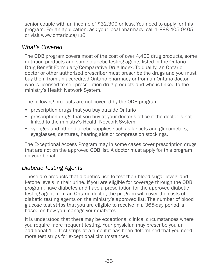senior couple with an income of \$32,300 or less. You need to apply for this program. For an application, ask your local pharmacy, call 1-888-405-0405 or visit [www.ontario.ca/ru6.](http://www.ontario.ca/ru6)

#### *What's Covered*

The ODB program covers most of the cost of over 4,400 drug products, some nutrition products and some diabetic testing agents listed in the Ontario Drug Benefit Formulary/Comparative Drug Index. To qualify, an Ontario doctor or other authorized prescriber must prescribe the drugs and you must buy them from an accredited Ontario pharmacy or from an Ontario doctor who is licensed to sell prescription drug products and who is linked to the ministry's Health Network System.

The following products are not covered by the ODB program:

- prescription drugs that you buy outside Ontario
- prescription drugs that you buy at your doctor's office if the doctor is not linked to the ministry's Health Network System
- syringes and other diabetic supplies such as lancets and glucometers, eyeglasses, dentures, hearing aids or compression stockings.

The Exceptional Access Program may in some cases cover prescription drugs that are not on the approved ODB list. A doctor must apply for this program on your behalf.

## *Diabetic Testing Agents*

These are products that diabetics use to test their blood sugar levels and ketone levels in their urine. If you are eligible for coverage through the ODB program, have diabetes and have a prescription for the approved diabetic testing agent from an Ontario doctor, the program will cover the costs of diabetic testing agents on the ministry's approved list. The number of blood glucose test strips that you are eligible to receive in a 365-day period is based on how you manage your diabetes.

It is understood that there may be exceptional clinical circumstances where you require more frequent testing. Your physician may prescribe you an additional 100 test strips at a time if it has been determined that you need more test strips for exceptional circumstances.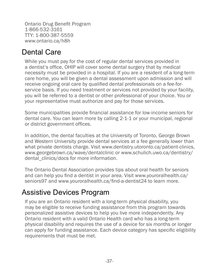Ontario Drug Benefit Program 1-866-532-3161 TTY: 1-800-387-5559 [www.ontario.ca/h8h](http://www.ontario.ca/h8h)

# Dental Care

While you must pay for the cost of regular dental services provided in a dentist's office, OHIP will cover some dental surgery that by medical necessity must be provided in a hospital. If you are a resident of a long-term care home, you will be given a dental assessment upon admission and will receive ongoing oral care by qualified dental professionals on a fee-forservice basis. If you need treatment or services not provided by your facility, you will be referred to a dentist or other professional of your choice. You or your representative must authorize and pay for those services.

Some municipalities provide financial assistance for low-income seniors for dental care. You can learn more by calling 2-1-1 or your municipal, regional or district government offices.

In addition, the dental faculties at the University of Toronto, George Brown and Western University provide dental services at a fee generally lower than what private dentists charge. Visit [www.dentistry.utoronto.ca/patient-clinics](http://www.dentistry.utoronto.ca/patient-clinics). [www.georgebrown.ca/wave/dentalclinic](http://http://www.georgebrown.ca/wave/dentalclinic/) or www.schulich.uwo.ca/dentistry/ dental clinics/docs for more information.

The Ontario Dental Association provides tips about oral health for seniors and can help you find a dentist in your area. Visit [www.youroralhealth.ca/](http://www.youroralhealth.ca/seniors97) [seniors97](http://www.youroralhealth.ca/seniors97) and www.youroralhealth.ca/find-a-dentist24 to learn more.

## Assistive Devices Program

If you are an Ontario resident with a long-term physical disability, you may be eligible to receive funding assistance from this program towards personalized assistive devices to help you live more independently. Any Ontario resident with a valid Ontario Health card who has a long-term physical disability and requires the use of a device for six months or longer can apply for funding assistance. Each device category has specific eligibility requirements that must be met.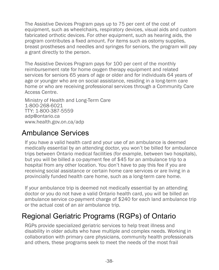The Assistive Devices Program pays up to 75 per cent of the cost of equipment, such as wheelchairs, respiratory devices, visual aids and custom fabricated orthotic devices. For other equipment, such as hearing aids, the program contributes a fixed amount. For items such as ostomy supplies, breast prostheses and needles and syringes for seniors, the program will pay a grant directly to the person.

The Assistive Devices Program pays for 100 per cent of the monthly reimbursement rate for home oxygen therapy equipment and related services for seniors 65 years of age or older and for individuals 64 years of age or younger who are on social assistance, residing in a long-term care home or who are receiving professional services through a Community Care Access Centre.

Ministry of Health and Long-Term Care 1-800-268-6021 TTY: 1-800-387-5559 adp@ontario.ca [www.](http://www.ontario.ca/ru8)health.gov.on.ca/adp

## Ambulance Services

If you have a valid health card and your use of an ambulance is deemed medically essential by an attending doctor, you won't be billed for ambulance trips between Ontario medical facilities (for example, between two hospitals), but you will be billed a co-payment fee of \$45 for an ambulance trip to a hospital from any other location. You don't have to pay this fee if you are receiving social assistance or certain home care services or are living in a provincially funded health care home, such as a long-term care home.

If your ambulance trip is deemed not medically essential by an attending doctor or you do not have a valid Ontario health card, you will be billed an ambulance service co-payment charge of \$240 for each land ambulance trip or the actual cost of an air ambulance trip.

# Regional Geriatric Programs (RGPs) of Ontario

RGPs provide specialized geriatric services to help treat illness and disability in older adults who have multiple and complex needs. Working in collaboration with primary care physicians, community health professionals and others, these programs seek to meet the needs of the most frail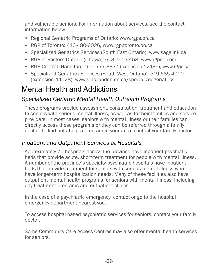and vulnerable seniors. For information about services, see the contact information below.

- Regional Geriatric Programs of Ontario: [www.rgps.on.ca](http://www.rgps.on.ca)
- RGP of Toronto: 416-480-6026, [www.rgp.toronto.on.ca](http://www.rgp.toronto.on.ca)
- Specialized Geriatrics Services (South East Ontario): [www.sagelink.ca](http://www.sagelink.ca)
- RGP of Eastern Ontario (Ottawa): 613-761-4458, [www.rgpeo.com](http://www.rgpeo.com)
- RGP Central (Hamilton): 905-777-3837 (extension 12436), [www.rgpc.ca](http://www.rgpc.ca)
- Specialized Geriatrics Services (South West Ontario): 519-685-4000 (extension 44028), [www.sjhc.london.on.ca/specializedgeriatrics](http://www.sjhc.london.on.ca/specializedgeriatrics)

# Mental Health and Addictions

#### *Specialized Geriatric Mental Health Outreach Programs*

These programs provide assessment, consultation, treatment and education to seniors with serious mental illness, as well as to their families and service providers. In most cases, seniors with mental illness or their families can directly access these programs or they can be referred through a family doctor. To find out about a program in your area, contact your family doctor.

#### *Inpatient and Outpatient Services at Hospitals*

Approximately 70 hospitals across the province have inpatient psychiatry beds that provide acute, short-term treatment for people with mental illness. A number of the province's specialty psychiatric hospitals have inpatient beds that provide treatment for seniors with serious mental illness who have longer-term hospitalization needs. Many of these facilities also have outpatient mental health programs for seniors with mental illness, including day treatment programs and outpatient clinics.

In the case of a psychiatric emergency, contact or go to the hospital emergency department nearest you.

To access hospital-based psychiatric services for seniors, contact your family doctor.

Some Community Care Access Centres may also offer mental health services for seniors.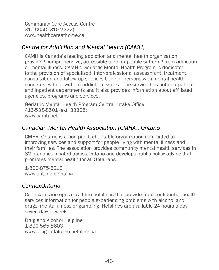Community Care Access Centre 310-CCAC (310-2222) [www.healthcareathome.ca](http://www.healthcareathome.ca)

## *Centre for Addiction and Mental Health (CAMH)*

CAMH is Canada's leading addiction and mental health organization providing comprehensive, accessible care for people suffering from addiction or mental illness. CAMH's Geriatric Mental Health Program is dedicated to the provision of specialized, inter-professional assessment, treatment, consultation and follow-up services to older persons with mental health concerns, with or without addiction issues. The service has both outpatient and inpatient departments and it also provides information about affiliated agencies, programs and services.

Geriatric Mental Health Program Central Intake Office 416-535-8501 (ext. 33305) [www.camh.net](http://www.camh.net)

#### *Canadian Mental Health Association (CMHA), Ontario*

CMHA, Ontario is a non-profit, charitable organization committed to improving services and support for people living with mental illness and their families. The association provides community mental health services in 32 branches located across Ontario and develops public policy advice that promotes mental health for all Ontarians.

1-800-875-6213 [www.ontario.cmha.ca](http://www.ontario.cmha.ca)

#### *ConnexOntario*

ConnexOntario operates three helplines that provide free, confidential health services information for people experiencing problems with alcohol and drugs, mental illness or gambling. Helplines are available 24 hours a day, seven days a week.

Drug and Alcohol Helpline 1-800-565-8603 [www.drugandalcoholhelpline.ca](http://www.drugandalcoholhelpline.ca)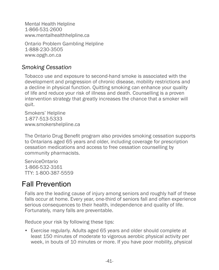Mental Health Helpline 1-866-531-2600 [www.mentalhealthhelpline.ca](http://www.mentalhealthhelpline.ca)

Ontario Problem Gambling Helpline 1-888-230-3505 [www.opgh.on.ca](http://www.opgh.on.ca)

#### *Smoking Cessation*

Tobacco use and exposure to second-hand smoke is associated with the development and progression of chronic disease, mobility restrictions and a decline in physical function. Quitting smoking can enhance your quality of life and reduce your risk of illness and death. Counselling is a proven intervention strategy that greatly increases the chance that a smoker will quit.

Smokers' Helpline 1-877-513-5333 [www.smokershelpline.ca](http://www.smokershelpline.ca)

The Ontario Drug Benefit program also provides smoking cessation supports to Ontarians aged 65 years and older, including coverage for prescription cessation medications and access to free cessation counselling by community pharmacists.

ServiceOntario 1-866-532-3161 TTY: 1-800-387-5559

# Fall Prevention

Falls are the leading cause of injury among seniors and roughly half of these falls occur at home. Every year, one-third of seniors fall and often experience serious consequences to their health, independence and quality of life. Fortunately, many falls are preventable.

Reduce your risk by following these tips:

• Exercise regularly. Adults aged 65 years and older should complete at least 150 minutes of moderate to vigorous aerobic physical activity per week, in bouts of 10 minutes or more. If you have poor mobility, physical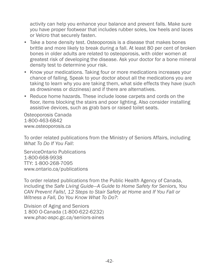activity can help you enhance your balance and prevent falls. Make sure you have proper footwear that includes rubber soles, low heels and laces or Velcro that securely fasten.

- Take a bone density test. Osteoporosis is a disease that makes bones brittle and more likely to break during a fall. At least 80 per cent of broken bones in older adults are related to osteoporosis, with older women at greatest risk of developing the disease. Ask your doctor for a bone mineral density test to determine your risk.
- Know your medications. Taking four or more medications increases your chance of falling. Speak to your doctor about all the medications you are taking to learn why you are taking them, what side effects they have (such as drowsiness or dizziness) and if there are alternatives.
- Reduce home hazards. These include loose carpets and cords on the floor, items blocking the stairs and poor lighting. Also consider installing assistive devices, such as grab bars or raised toilet seats.

Osteoporosis Canada 1-800-463-6842 [www.osteoporosis.ca](http://www.osteoporosis.ca)

To order related publications from the Ministry of Seniors Affairs, including *What To Do If You Fall*:

ServiceOntario Publications 1-800-668-9938 TTY: 1-800-268-7095 [www.ontario.ca/p](http://www.publications.serviceontario.ca)ublications

To order related publications from the Public Health Agency of Canada, including the *Safe Living Guide—A Guide to Home Safety for Seniors, You CAN Prevent Falls!, 12 Steps to Stair Safety at Home* and *If You Fall or Witness a Fall, Do You Know What To Do?*:

Division of Aging and Seniors 1 800 O-Canada (1-800-622-6232) [www.phac-aspc.gc.ca/seniors-aines](http://www.phac-aspc.gc.ca/seniors-aines)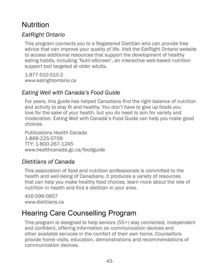# Nutrition

## *EatRight Ontario*

This program connects you to a Registered Dietitian who can provide free advice that can improve your quality of life. Visit the EatRight Ontario website to access additional resources that support the development of healthy eating habits, including 'Nutri-eScreen', an interactive web-based nutrition support tool targeted at older adults.

1-877-510-510-2 [www.eatrightontario.ca](http://www.eatrightontario.ca)

## *Eating Well with Canada's Food Guide*

For years, this guide has helped Canadians find the right balance of nutrition and activity to stay fit and healthy. You don't have to give up foods you love for the sake of your health, but you do need to aim for variety and moderation. Eating Well with Canada's Food Guide can help you make good choices.

Publications Health Canada 1-866-225-0709 TTY: 1-800-267-1245 [www.healthcanada.gc.ca/foodguide](http://www.healthcanada.gc.ca/foodguide)

## *Dietitians of Canada*

This association of food and nutrition professionals is committed to the health and well-being of Canadians. It produces a variety of resources that can help you make healthy food choices, learn more about the role of nutrition in health and find a dietitian in your area.

416-596-0857 [www.dietitians.ca](http://www.dietitians.ca)

# Hearing Care Counselling Program

This program is designed to help seniors (55+) stay connected, independent and confident, offering information on communication devices and other available services in the comfort of their own home. Counsellors provide home visits, education, demonstrations and recommendations of communication devices.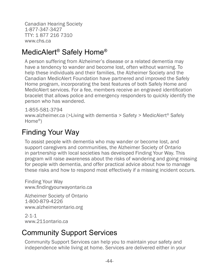Canadian Hearing Society 1-877-347-3427 TTY: 1 877 216 7310 www.chs.ca

# MedicAlert® Safely Home®

A person suffering from Alzheimer's disease or a related dementia may have a tendency to wander and become lost, often without warning. To help these individuals and their families, the Alzheimer Society and the Canadian MedicAlert Foundation have partnered and improved the Safely Home program, incorporating the best features of both Safely Home and MedicAlert services. For a fee, members receive an engraved identification bracelet that allows police and emergency responders to quickly identify the person who has wandered.

1-855-581-3794 [www.alzheimer.ca](http://www.alzheimer.ca) (>Living with dementia > Safety > MedicAlert® Safely Home®)

# Finding Your Way

To assist people with dementia who may wander or become lost, and support caregivers and communities, the Alzheimer Society of Ontario in partnership with local societies has developed Finding Your Way. This program will raise awareness about the risks of wandering and going missing for people with dementia, and offer practical advice about how to manage these risks and how to respond most effectively if a missing incident occurs.

Finding Your Way www.findingyourwayontario.ca

Alzheimer Society of Ontario 1-800-879-4226 [www.alzheimerontario.org](http://www.alzheimerontario.org)

 $2 - 1 - 1$ [www.211ontario.ca](http://www.211ontario.ca)

# Community Support Services

Community Support Services can help you to maintain your safety and independence while living at home. Services are delivered either in your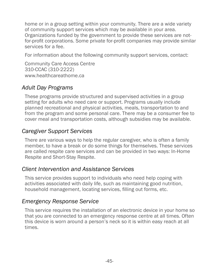home or in a group setting within your community. There are a wide variety of community support services which may be available in your area. Organizations funded by the government to provide these services are notfor-profit corporations. Some private for-profit companies may provide similar services for a fee.

For information about the following community support services, contact:

Community Care Access Centre 310-CCAC (310-2222) [www.](http://www.healthcareathome.ca)healthcareathome.ca

## *Adult Day Programs*

These programs provide structured and supervised activities in a group setting for adults who need care or support. Programs usually include planned recreational and physical activities, meals, transportation to and from the program and some personal care. There may be a consumer fee to cover meal and transportation costs, although subsidies may be available.

## *Caregiver Support Services*

There are various ways to help the regular caregiver, who is often a family member, to have a break or do some things for themselves. These services are called respite care services and can be provided in two ways: In-Home Respite and Short-Stay Respite.

## *Client Intervention and Assistance Services*

This service provides support to individuals who need help coping with activities associated with daily life, such as maintaining good nutrition, household management, locating services, filling out forms, etc.

## *Emergency Response Service*

This service requires the installation of an electronic device in your home so that you are connected to an emergency response centre at all times. Often this device is worn around a person's neck so it is within easy reach at all times.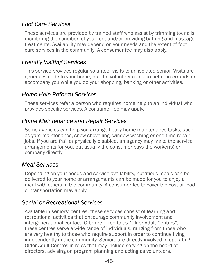#### *Foot Care Services*

These services are provided by trained staff who assist by trimming toenails, monitoring the condition of your feet and/or providing bathing and massage treatments. Availability may depend on your needs and the extent of foot care services in the community. A consumer fee may also apply.

#### *Friendly Visiting Services*

This service provides regular volunteer visits to an isolated senior. Visits are generally made to your home, but the volunteer can also help run errands or accompany you while you do your shopping, banking or other activities.

#### *Home Help Referral Services*

These services refer a person who requires home help to an individual who provides specific services. A consumer fee may apply.

#### *Home Maintenance and Repair Services*

Some agencies can help you arrange heavy home maintenance tasks, such as yard maintenance, snow shovelling, window washing or one-time repair jobs. If you are frail or physically disabled, an agency may make the service arrangements for you, but usually the consumer pays the worker(s) or company directly.

#### *Meal Services*

Depending on your needs and service availability, nutritious meals can be delivered to your home or arrangements can be made for you to enjoy a meal with others in the community. A consumer fee to cover the cost of food or transportation may apply.

#### *Social or Recreational Services*

Available in seniors' centres, these services consist of learning and recreational activities that encourage community involvement and intergenerational contact. Often referred to as "Older Adult Centres", these centres serve a wide range of individuals, ranging from those who are very healthy to those who require support in order to continue living independently in the community. Seniors are directly involved in operating Older Adult Centres in roles that may include serving on the board of directors, advising on program planning and acting as volunteers.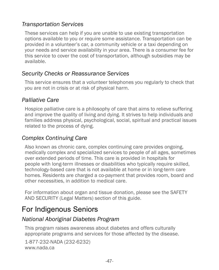## *Transportation Services*

These services can help if you are unable to use existing transportation options available to you or require some assistance. Transportation can be provided in a volunteer's car, a community vehicle or a taxi depending on your needs and service availability in your area. There is a consumer fee for this service to cover the cost of transportation, although subsidies may be available.

## *Security Checks or Reassurance Services*

This service ensures that a volunteer telephones you regularly to check that you are not in crisis or at risk of physical harm.

## *Palliative Care*

Hospice palliative care is a philosophy of care that aims to relieve suffering and improve the quality of living and dying. It strives to help individuals and families address physical, psychological, social, spiritual and practical issues related to the process of dying.

## *Complex Continuing Care*

Also known as chronic care, complex continuing care provides ongoing, medically complex and specialized services to people of all ages, sometimes over extended periods of time. This care is provided in hospitals for people with long-term illnesses or disabilities who typically require skilled, technology-based care that is not available at home or in long-term care homes. Residents are charged a co-payment that provides room, board and other necessities, in addition to medical care.

For information about organ and tissue donation, please see the SAFETY AND SECURITY (Legal Matters) section of this guide.

# For Indigenous Seniors

#### *National Aboriginal Diabetes Program*

This program raises awareness about diabetes and offers culturally appropriate programs and services for those affected by the disease.

1-877-232-NADA (232-6232) [www.nada.ca](http://www.nada.ca)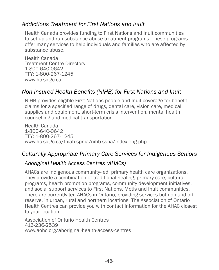#### *Addictions Treatment for First Nations and Inuit*

Health Canada provides funding to First Nations and Inuit communities to set up and run substance abuse treatment programs. These programs offer many services to help individuals and families who are affected by substance abuse.

Health Canada Treatment Centre Directory 1-800-640-0642 TTY: 1-800-267-1245 [www.hc-sc.gc.ca](http://www.hc-sc.gc.ca/fniah-spnia/substan/ads/nnadap-pnlaada_dir-rep-eng.php#on)

#### *Non-Insured Health Benefits (NIHB) for First Nations and Inuit*

NIHB provides eligible First Nations people and Inuit coverage for benefit claims for a specified range of drugs, dental care, vision care, medical supplies and equipment, short-term crisis intervention, mental health counselling and medical transportation.

Health Canada 1-800-640-0642 TTY: 1-800-267-1245 www.hc-sc.gc.ca/fniah-spnia/nihb-ssna/index-eng.php

#### *Culturally Appropriate Primary Care Services for Indigenous Seniors*

#### *Aboriginal Health Access Centres (AHACs)*

AHACs are Indigenous community-led, primary health care organizations. They provide a combination of traditional healing, primary care, cultural programs, health promotion programs, community development initiatives, and social support services to First Nations, Métis and Inuit communities. There are currently ten AHACs in Ontario, providing services both on and offreserve, in urban, rural and northern locations. The Association of Ontario Health Centres can provide you with contact information for the AHAC closest to your location.

Association of Ontario Health Centres 416-236-2539 www.aohc.org/aboriginal-health-access-centres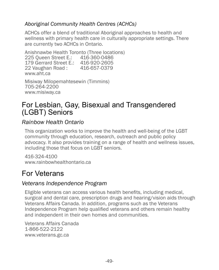#### *Aboriginal Community Health Centres (ACHCs)*

ACHCs offer a blend of traditional Aboriginal approaches to health and wellness with primary health care in culturally appropriate settings. There are currently two ACHCs in Ontario.

Anishnawbe Health Toronto (Three locations) 225 Queen Street E.: 416-360-0486 179 Gerrard Street E.: 416-920-2605 22 Vaughan Road : 416-657-0379 www.aht.ca

Misiway Milopemahtesewin (Timmins) 705-264-2200 www.misiway.ca

## For Lesbian, Gay, Bisexual and Transgendered (LGBT) Seniors

## *Rainbow Health Ontario*

This organization works to improve the health and well-being of the LGBT community through education, research, outreach and public policy advocacy. It also provides training on a range of health and wellness issues, including those that focus on LGBT seniors.

416-324-4100 [www.rainbowhealthontario.ca](http://www.rainbowhealthontario.ca)

# For Veterans

#### *Veterans Independence Program*

Eligible veterans can access various health benefits, including medical, surgical and dental care, prescription drugs and hearing/vision aids through Veterans Affairs Canada. In addition, programs such as the Veterans Independence Program help qualified veterans and others remain healthy and independent in their own homes and communities.

Veterans Affairs Canada 1-866-522-2122 [www.veterans.gc.ca](http://www.veterans.gc.ca)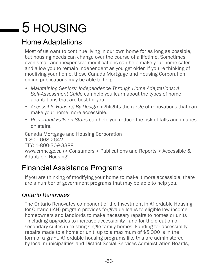# 5 HOUSING

# Home Adaptations

Most of us want to continue living in our own home for as long as possible, but housing needs can change over the course of a lifetime. Sometimes even small and inexpensive modifications can help make your home safer and allow you to remain independent as you get older. If you're thinking of modifying your home, these Canada Mortgage and Housing Corporation online publications may be able to help:

- *• Maintaining Seniors' Independence Through Home Adaptations: A Self-Assessment Guide* can help you learn about the types of home adaptations that are best for you.
- *• Accessible Housing By Design* highlights the range of renovations that can make your home more accessible.
- *• Preventing Falls on Stairs* can help you reduce the risk of falls and injuries on stairs.

Canada Mortgage and Housing Corporation 1-800-668-2642 TTY: 1-800-309-3388 [www.cmhc.gc.ca](http://www.cmhc.gc.ca) (> Consumers > Publications and Reports > Accessible & Adaptable Housing)

# Financial Assistance Programs

If you are thinking of modifying your home to make it more accessible, there are a number of government programs that may be able to help you.

#### *Ontario Renovates*

The Ontario Renovates component of the Investment in Affordable Housing for Ontario (IAH) program provides forgivable loans to eligible low-income homeowners and landlords to make necessary repairs to homes or units - including upgrades to increase accessibility - and for the creation of secondary suites in existing single family homes. Funding for accessiblity repairs made to a home or unit, up to a maximum of \$5,000 is in the form of a grant. Affordable housing programs like this are administered by local municipalities and District Social Services Administration Boards,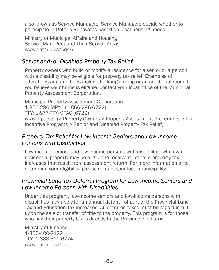also known as Service Managers. Service Managers decide whether to participate in Ontario Renovates based on local housing needs.

Ministry of Municipal Affairs and Housing Service Managers and Their Service Areas [www.ontario.ca/kq46](http://www.ontario.ca/kq46)

#### *Senior and/or Disabled Property Tax Relief*

Property owners who build or modify a residence for a senior or a person with a disability may be eligible for property tax relief. Examples of alterations and additions include building a ramp or an additional room. If you believe your home is eligible, contact your local office of the Municipal Property Assessment Corporation.

Municipal Property Assessment Corporation 1-866-296-MPAC (1-866-296-6722) TTY: 1-877-TTY-MPAC (6722) [www.mpac.ca](http://www.mpac.ca) (> Property Owners > Property Assessment Procedures > Tax Incentive Programs > Senior and Disabled Property Tax Relief)

#### *Property Tax Relief for Low-Income Seniors and Low-Income Persons with Disabilities*

Low-income seniors and low-income persons with disabilities who own residential property may be eligible to receive relief from property tax increases that result from assessment reform. For more information or to determine your eligibility, please contact your local municipality.

#### *Provincial Land Tax Deferral Program for Low-Income Seniors and Low-Income Persons with Disabilities*

Under this program, low-income seniors and low-income persons with disabilities may apply for an annual deferral of part of the Provincial Land Tax and Education Tax increases. All deferred taxes must be repaid in full upon the sale or transfer of title to the property. This program is for those who pay their property taxes directly to the Province of Ontario.

Ministry of Finance 1-866-400-2122 TTY: 1-888-321-6774 [www.ontario.ca/rva](http://www.ontario.ca/rva)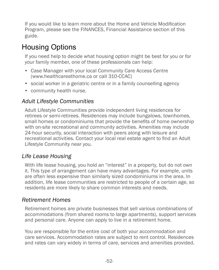If you would like to learn more about the Home and Vehicle Modification Program, please see the FINANCES, Financial Assistance section of this guide.

# Housing Options

If you need help to decide what housing option might be best for you or for your family member, one of these professionals can help:

- Case Manager with your local Community Care Access Centre (www.healthcareathome.ca or call 310-CCAC)
- social worker in a geriatric centre or in a family counselling agency
- community health nurse.

## *Adult Lifestyle Communities*

Adult Lifestyle Communities provide independent living residences for retirees or semi-retirees. Residences may include bungalows, townhomes, small homes or condominiums that provide the benefits of home ownership with on-site recreational and community activities. Amenities may include 24-hour security, social interaction with peers along with leisure and recreational activities. Contact your local real estate agent to find an Adult Lifestyle Community near you.

## *Life Lease Housing*

With life lease housing, you hold an "interest" in a property, but do not own it. This type of arrangement can have many advantages. For example, units are often less expensive than similarly sized condominiums in the area. In addition, life lease communities are restricted to people of a certain age, so residents are more likely to share common interests and needs.

#### *Retirement Homes*

Retirement homes are private businesses that sell various combinations of accommodations (from shared rooms to large apartments), support services and personal care. Anyone can apply to live in a retirement home.

You are responsible for the entire cost of both your accommodation and care services. Accommodation rates are subject to rent control. Residences and rates can vary widely in terms of care, services and amenities provided.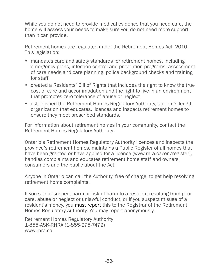While you do not need to provide medical evidence that you need care, the home will assess your needs to make sure you do not need more support than it can provide.

Retirement homes are regulated under the Retirement Homes Act, 2010. This legislation:

- mandates care and safety standards for retirement homes, including emergency plans, infection control and prevention programs, assessment of care needs and care planning, police background checks and training for staff
- created a Residents' Bill of Rights that includes the right to know the true cost of care and accommodation and the right to live in an environment that promotes zero tolerance of abuse or neglect
- established the Retirement Homes Regulatory Authority, an arm's-length organization that educates, licences and inspects retirement homes to ensure they meet prescribed standards.

For information about retirement homes in your community, contact the Retirement Homes Regulatory Authority.

Ontario's Retirement Homes Regulatory Authority licences and inspects the province's retirement homes, maintains a Public Register of all homes that have been granted or have applied for a licence ([www.rhra.ca/en/register\)](http://www.rhra.ca/en/register), handles complaints and educates retirement home staff and owners, consumers and the public about the Act.

Anyone in Ontario can call the Authority, free of charge, to get help resolving retirement home complaints.

If you see or suspect harm or risk of harm to a resident resulting from poor care, abuse or neglect or unlawful conduct, or if you suspect misuse of a resident's money, you must report this to the Registrar of the Retirement Homes Regulatory Authority. You may report anonymously.

Retirement Homes Regulatory Authority 1-855-ASK-RHRA (1-855-275-7472) [www.rhra.ca](http://www.rhra.ca)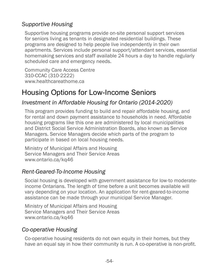## *Supportive Housing*

Supportive housing programs provide on-site personal support services for seniors living as tenants in designated residential buildings. These programs are designed to help people live independently in their own apartments. Services include personal support/attendant services, essential homemaking services and staff available 24 hours a day to handle regularly scheduled care and emergency needs.

Community Care Access Centre 310-CCAC (310-2222) [www.healthcareathome.ca](http://www.healthcareathome.ca)

# Housing Options for Low-Income Seniors

#### *Investment in Affordable Housing for Ontario (2014-2020)*

This program provides funding to build and repair affordable housing, and for rental and down payment assistance to households in need. Affordable housing programs like this one are administered by local municipalities and District Social Service Administration Boards, also known as Service Managers. Service Managers decide which parts of the program to participate in based on local housing needs.

Ministry of Municipal Affairs and Housing Service Managers and Their Service Areas [www.ontario.ca/kq46](http://www.ontario.ca/kq46)

#### *Rent-Geared-To-Income Housing*

Social housing is developed with government assistance for low-to moderateincome Ontarians. The length of time before a unit becomes available will vary depending on your location. An application for rent-geared-to-income assistance can be made through your municipal Service Manager.

Ministry of Municipal Affairs and Housing Service Managers and Their Service Areas [www.ontario.ca/kq46](http://www.ontario.ca/kq46)

#### *Co-operative Housing*

Co-operative housing residents do not own equity in their homes, but they have an equal say in how their community is run. A co-operative is non-profit.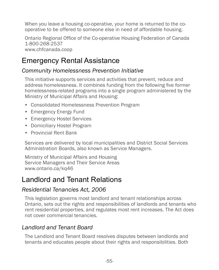When you leave a housing co-operative, your home is returned to the cooperative to be offered to someone else in need of affordable housing.

Ontario Regional Office of the Co-operative Housing Federation of Canada 1-800-268-2537 [www.chfcanada.coop](http://www.chfcanada.coop)

# Emergency Rental Assistance

#### *Community Homelessness Prevention Initiative*

This initiative supports services and activities that prevent, reduce and address homelessness. It combines funding from the following five former homelessness-related programs into a single program administered by the Ministry of Municipal Affairs and Housing:

- Consolidated Homelessness Prevention Program
- Emergency Energy Fund
- Emergency Hostel Services
- Domiciliary Hostel Program
- Provincial Rent Bank

Services are delivered by local municipalities and District Social Services Administration Boards, also known as Service Managers.

Ministry of Municipal Affairs and Housing Service Managers and Their Service Areas [www.ontario.ca/kq46](http://www.ontario.ca/kq46)

# Landlord and Tenant Relations

## *Residential Tenancies Act, 2006*

This legislation governs most landlord and tenant relationships across Ontario, sets out the rights and responsibilities of landlords and tenants who rent residential properties, and regulates most rent increases. The Act does not cover commercial tenancies.

## *Landlord and Tenant Board*

The Landlord and Tenant Board resolves disputes between landlords and tenants and educates people about their rights and responsibilities. Both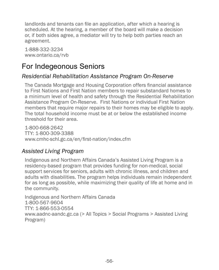landlords and tenants can file an application, after which a hearing is scheduled. At the hearing, a member of the board will make a decision or, if both sides agree, a mediator will try to help both parties reach an agreement.

1-888-332-3234 [www.ontario.ca/rvb](http://www.ontario.ca/rvb)

# For Indegeonous Seniors

#### *Residential Rehabilitation Assistance Program On-Reserve*

The Canada Mortgage and Housing Corporation offers financial assistance to First Nations and First Nation members to repair substandard homes to a minimum level of health and safety through the Residential Rehabilitation Assistance Program On-Reserve. First Nations or individual First Nation members that require major repairs to their homes may be eligible to apply. The total household income must be at or below the established income threshold for their area.

1-800-668-2642 TTY: 1-800-309-3388 www.cmhc-schl.gc.ca/en/first-nation/index.cfm

#### *Assisted Living Program*

Indigenous and Northern Affairs Canada's Assisted Living Program is a residency-based program that provides funding for non-medical, social support services for seniors, adults with chronic illness, and children and adults with disabilities. The program helps individuals remain independent for as long as possible, while maximizing their quality of life at home and in the community.

Indigenous and Northern Affairs Canada 1-800-567-9604 TTY: 1-866-553-0554 [www.aadnc-aandc.gc.ca](http://www.aadnc-aandc.gc.ca) (> All Topics > Social Programs > Assisted Living Program)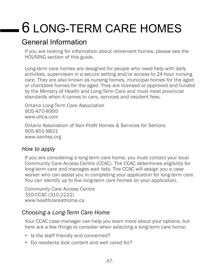# 6 LONG-TERM CARE HOMES

# General Information

If you are looking for information about retirement homes, please see the HOUSING section of this guide.

Long-term care homes are designed for people who need help with daily activities, supervision in a secure setting and/or access to 24-hour nursing care. They are also known as nursing homes, municipal homes for the aged or charitable homes for the aged. They are licensed or approved and funded by the Ministry of Health and Long-Term Care and must meet provincial standards when it comes to care, services and resident fees.

Ontario Long-Term Care Association 905-470-8995 www.oltca.com

Ontario Association of Non-Profit Homes & Services for Seniors 905-851-8821 [www.oanhss.org](http://www.oanhss.org)

#### *How to apply*

If you are considering a long-term care home, you must contact your local Community Care Access Centre (CCAC). The CCAC determines eligibility for long-term care and manages wait lists. The CCAC will assign you a case worker who can assist you in completing your application for long-term care. You can identify up to five long-term care homes on your application.

```
Community Care Access Centre
310-CCAC (310-2222)
www.healthcareathome.ca
```
## *Choosing a Long-Term Care Home*

Your CCAC case manager can help you learn more about your options, but here are a few things to consider when selecting a long-term care home:

- Is the staff friendly and concerned?
- Do residents look content and well cared for?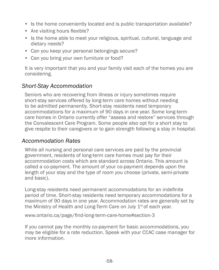- Is the home conveniently located and is public transportation available?
- Are visiting hours flexible?
- Is the home able to meet your religious, spiritual, cultural, language and dietary needs?
- Can you keep your personal belongings secure?
- Can you bring your own furniture or food?

It is very important that you and your family visit each of the homes you are considering.

## *Short-Stay Accommodation*

Seniors who are recovering from illness or injury sometimes require short-stay services offered by long-term care homes without needing to be admitted permanently. Short-stay residents need temporary accommodations for a maximum of 90 days in one year. Some long-term care homes in Ontario currently offer "assess and restore" services through the Convalescent Care Program. Some people also opt for a short stay to give respite to their caregivers or to gain strength following a stay in hospital.

#### *Accommodation Rates*

While all nursing and personal care services are paid by the provincial government, residents of long-term care homes must pay for their accommodation costs which are standard across Ontario. This amount is called a co-payment. The amount of your co-payment depends upon the length of your stay and the type of room you choose (private, semi-private and basic).

Long-stay residents need permanent accommodations for an indefinite period of time. Short-stay residents need temporary accommodations for a maximum of 90 days in one year. Accommodation rates are generally set by the Ministry of Health and Long-Term Care on July  $1<sup>st</sup>$  of each year.

www.ontario.ca/page/find-long-term-care-home#section-3

If you cannot pay the monthly co-payment for basic accommodations, you may be eligible for a rate reduction. Speak with your CCAC case manager for more information.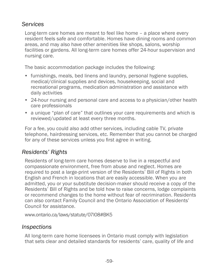#### *Services*

Long-term care homes are meant to feel like home – a place where every resident feels safe and comfortable. Homes have dining rooms and common areas, and may also have other amenities like shops, salons, worship facilities or gardens. All long-term care homes offer 24-hour supervision and nursing care.

The basic accommodation package includes the following:

- furnishings, meals, bed linens and laundry, personal hygiene supplies, medical/clinical supplies and devices, housekeeping, social and recreational programs, medication administration and assistance with daily activities
- 24-hour nursing and personal care and access to a physician/other health care professionals
- a unique "plan of care" that outlines your care requirements and which is reviewed/updated at least every three months.

For a fee, you could also add other services, including cable TV, private telephone, hairdressing services, etc. Remember that you cannot be charged for any of these services unless you first agree in writing.

## *Residents' Rights*

Residents of long-term care homes deserve to live in a respectful and compassionate environment, free from abuse and neglect. Homes are required to post a large-print version of the Residents' Bill of Rights in both English and French in locations that are easily accessible. When you are admitted, you or your substitute decision-maker should receive a copy of the Residents' Bill of Rights and be told how to raise concerns, lodge complaints or recommend changes to the home without fear of recrimination. Residents can also contact Family Council and the Ontario Association of Residents' Council for assistance.

[www.ontario.ca/laws/statute/07l08#BK5](http://www.ontario.ca/laws/statute/07l08#BK5)

#### *Inspections*

All long-term care home licensees in Ontario must comply with legislation that sets clear and detailed standards for residents' care, quality of life and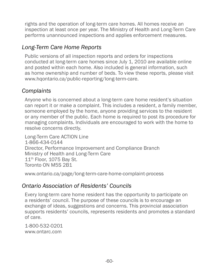rights and the operation of long-term care homes. All homes receive an inspection at least once per year. The Ministry of Health and Long-Term Care performs unannounced inspections and applies enforcement measures.

## *Long-Term Care Home Reports*

Public versions of all inspection reports and orders for inspections conducted at long-term care homes since July 1, 2010 are available online and posted within each home. Also included is general information, such as home ownership and number of beds. To view these reports, please visit [www.hqontario.ca/public-reporting/long-term-care.](http://www.hqontario.ca/public-reporting/long-term-care)

#### *Complaints*

Anyone who is concerned about a long-term care home resident's situation can report it or make a complaint. This includes a resident, a family member, someone employed by the home, anyone providing services to the resident or any member of the public. Each home is required to post its procedure for managing complaints. Individuals are encouraged to work with the home to resolve concerns directly.

Long-Term Care ACTION Line 1-866-434-0144 Director, Performance Improvement and Compliance Branch Ministry of Health and Long-Term Care  $11<sup>th</sup>$  Floor, 1075 Bay St. Toronto ON M5S 2B1

[www.ontario.ca/page/long-term-care-home-complaint-process](http://www.ontario.ca/page/long-term-care-home-complaint-process)

#### *Ontario Association of Residents' Councils*

Every long-term care home resident has the opportunity to participate on a residents' council. The purpose of these councils is to encourage an exchange of ideas, suggestions and concerns. This provincial association supports residents' councils, represents residents and promotes a standard of care.

1-800-532-0201 [www.ontarc.com](http://www.ontarc.com)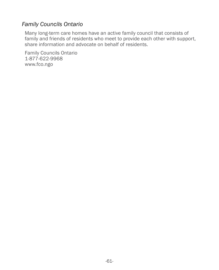#### *Family Councils Ontario*

Many long-term care homes have an active family council that consists of family and friends of residents who meet to provide each other with support, share information and advocate on behalf of residents.

Family Councils Ontario 1-877-622-9968 [www.](http://www.familycouncilmembers.net)fco.ngo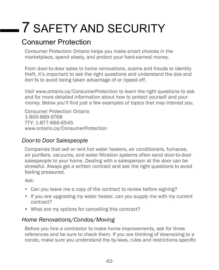# 7 SAFETY AND SECURITY

# Consumer Protection

Consumer Protection Ontario helps you make smart choices in the marketplace, spend wisely, and protect your hard-earned money.

From door-to-door sales to home renovations, scams and frauds to identity theft, it's important to ask the right questions and understand the dos and don'ts to avoid being taken advantage of or ripped off.

Visit [www.ontario.ca/ConsumerProtection](http://www.ontario.ca/ConsumerProtection) to learn the right questions to ask and for more detailed information about how to protect yourself and your money. Below you'll find just a few examples of topics that may interest you.

Consumer Protection Ontario 1-800-889-9768 TTY: 1-877-666-6545 [www.ontario.ca/C](http://www.ontario.ca/ConsumerProtection)onsumerProtection

## *Door-to Door Salespeople*

Companies that sell or rent hot water heaters, air conditioners, furnaces, air purifiers, vacuums, and water filtration systems often send door-to-door salespeople to your home. Dealing with a salesperson at the door can be stressful. Always get a written contract and ask the right questions to avoid feeling pressured.

Ask:

- Can you leave me a copy of the contract to review before signing?
- If you are upgrading my water heater, can you supply me with my current contract?
- What are my options for cancelling this contract?

## *Home Renovations/Condos/Moving*

Before you hire a contractor to make home improvements, ask for three references and be sure to check them. If you are thinking of downsizing to a condo, make sure you understand the by-laws, rules and restrictions specific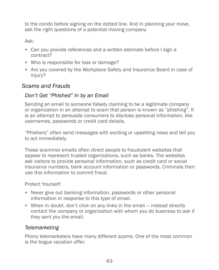to the condo before signing on the dotted line. And in planning your move, ask the right questions of a potential moving company.

Ask:

- Can you provide references and a written estimate before I sign a contract?
- Who is responsible for loss or damage?
- Are you covered by the Workplace Safety and Insurance Board in case of injury?

## *Scams and Frauds*

#### *Don't Get "Phished" In by an Email*

Sending an email to someone falsely claiming to be a legitimate company or organization in an attempt to scam that person is known as "phishing". It is an attempt to persuade consumers to disclose personal information, like usernames, passwords or credit card details.

"Phishers" often send messages with exciting or upsetting news and tell you to act immediately.

These scammer emails often direct people to fraudulent websites that appear to represent trusted organizations, such as banks. The websites ask visitors to provide personal information, such as credit card or social insurance numbers, bank account information or passwords. Criminals then use this information to commit fraud.

Protect Yourself:

- Never give out banking information, passwords or other personal information in response to this type of email.
- When in doubt, don't click on any links in the email instead directly contact the company or organization with whom you do business to ask if they sent you the email.

#### *Telemarketing*

Phony telemarketers have many different scams. One of the most common is the bogus vacation offer.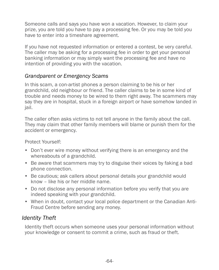Someone calls and says you have won a vacation. However, to claim your prize, you are told you have to pay a processing fee. Or you may be told you have to enter into a timeshare agreement.

If you have not requested information or entered a contest, be very careful. The caller may be asking for a processing fee in order to get your personal banking information or may simply want the processing fee and have no intention of providing you with the vacation.

#### *Grandparent or Emergency Scams*

In this scam, a con-artist phones a person claiming to be his or her grandchild, old neighbour or friend. The caller claims to be in some kind of trouble and needs money to be wired to them right away. The scammers may say they are in hospital, stuck in a foreign airport or have somehow landed in jail.

The caller often asks victims to not tell anyone in the family about the call. They may claim that other family members will blame or punish them for the accident or emergency.

Protect Yourself:

- Don't ever wire money without verifying there is an emergency and the whereabouts of a grandchild.
- Be aware that scammers may try to disguise their voices by faking a bad phone connection.
- Be cautious; ask callers about personal details your grandchild would know – like his or her middle name.
- Do not disclose any personal information before you verify that you are indeed speaking with your grandchild.
- When in doubt, contact your local police department or the Canadian Anti-Fraud Centre before sending any money.

#### *Identity Theft*

Identity theft occurs when someone uses your personal information without your knowledge or consent to commit a crime, such as fraud or theft.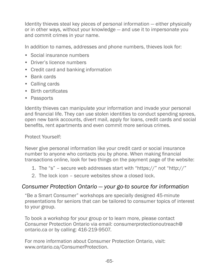Identity thieves steal key pieces of personal information — either physically or in other ways, without your knowledge — and use it to impersonate you and commit crimes in your name.

In addition to names, addresses and phone numbers, thieves look for:

- Social insurance numbers
- Driver's licence numbers
- Credit card and banking information
- Bank cards
- Calling cards
- Birth certificates
- Passports

Identity thieves can manipulate your information and invade your personal and financial life. They can use stolen identities to conduct spending sprees, open new bank accounts, divert mail, apply for loans, credit cards and social benefits, rent apartments and even commit more serious crimes.

Protect Yourself:

Never give personal information like your credit card or social insurance number to anyone who contacts you by phone. When making financial transactions online, look for two things on the payment page of the website:

- 1. The "s" secure web addresses start with "https://" not "http://"
- 2. The lock icon secure websites show a closed lock.

#### *Consumer Protection Ontario — your go-to source for information*

"Be a Smart Consumer" workshops are specially designed 45-minute presentations for seniors that can be tailored to consumer topics of interest to your group.

To book a workshop for your group or to learn more, please contact Consumer Protection Ontario via email: consumerprotectionoutreach@ ontario.ca or by calling: 416-219-9507.

For more information about Consumer Protection Ontario, visit: www.ontario.ca/ConsumerProtection.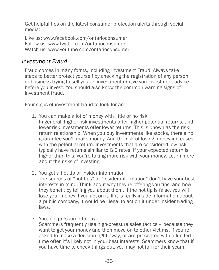<span id="page-72-0"></span>Get helpful tips on the latest consumer protection alerts through social media:

Like us: www.facebook.com/ontarioconsumer Follow us: www.twitter.com/ontarioconsumer Watch us: www.[youtube.com/ontarioconsumer](https://www.youtube.com/user/ontarioconsumer)

#### *Investment Fraud*

Fraud comes in many forms, including Investment Fraud. Always take steps to better protect yourself by checking the registration of any person or business trying to sell you an investment or give you investment advice before you invest. You should also know the common warning signs of investment fraud.

Four signs of investment fraud to look for are:

- 1. You can make a lot of money with little or no risk In general, higher-risk investments offer higher potential returns, and lower-risk investments offer lower returns. This is known as the riskreturn relationship. When you buy investments like stocks, there's no guarantee you'll make money. And the risk of losing money increases with the potential return. Investments that are considered low risk typically have returns similar to GIC rates. If your expected return is higher than this, you're taking more risk with your money. Learn more about the risks of investing.
- 2. You get a hot tip or insider information The sources of "hot tips" or "insider information" don't have your best interests in mind. Think about why they're offering you tips, and how they benefit by telling you about them. If the hot tip is false, you will lose your money if you act on it. If it is really inside information about a public company, it would be illegal to act on it under insider trading laws.
- 3. You feel pressured to buy

Scammers frequently use high-pressure sales tactics – because they want to get your money and then move on to other victims. If you're asked to make a decision right away, or are presented with a limited time offer, it's likely not in your best interests. Scammers know that if you have time to check things out, you may not fall for their scam.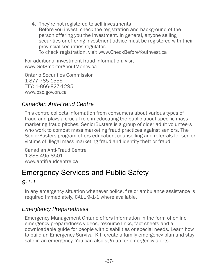<span id="page-73-0"></span>4. They're not registered to sell investments Before you invest, check the registration and background of the person offering you the investment. In general, anyone selling securities or offering investment advice must be registered with their provincial securities regulator. To check registration, visit www.CheckBeforeYouInvest.ca

For additional investment fraud information, visit www.GetSmarterAboutMoney.ca

Ontario Securities Commission 1-877-785-1555 TTY: 1-866-827-1295 www.osc.gov.on.ca

## *Canadian Anti-Fraud Centre*

This centre collects information from consumers about various types of fraud and plays a crucial role in educating the public about specific mass marketing fraud pitches. SeniorBusters is a group of older adult volunteers who work to combat mass marketing fraud practices against seniors. The SeniorBusters program offers education, counselling and referrals for senior victims of illegal mass marketing fraud and identity theft or fraud.

Canadian Anti-Fraud Centre 1-888-495-8501 [www.antifraudcentre.ca](http://www.antifraudcentre.ca)

## Emergency Services and Public Safety

## *9-1-1*

In any emergency situation whenever police, fire or ambulance assistance is required immediately, CALL 9-1-1 where available.

#### *Emergency Preparedness*

Emergency Management Ontario offers information in the form of online emergency preparedness videos, resource links, fact sheets and a downloadable guide for people with disabilities or special needs. Learn how to build an Emergency Survival Kit, create a family emergency plan and stay safe in an emergency. You can also sign up for emergency alerts.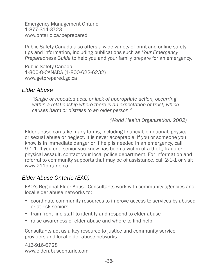<span id="page-74-0"></span>Emergency Management Ontario 1-877-314-3723 www.ontario.ca/beprepared

Public Safety Canada also offers a wide variety of print and online safety tips and information, including publications such as *Your Emergency Preparedness Guide* to help you and your family prepare for an emergency.

Public Safety Canada 1-800-O-CANADA (1-800-622-6232) [www.getprepared.gc.ca](http://www.getprepared.gc.ca)

#### *Elder Abuse*

*"Single or repeated acts, or lack of appropriate action, occurring within a relationship where there is an expectation of trust, which causes harm or distress to an older person."* 

*(World Health Organization, 2002)*

Elder abuse can take many forms, including financial, emotional, physical or sexual abuse or neglect. It is never acceptable. If you or someone you know is in immediate danger or if help is needed in an emergency, call 9-1-1. If you or a senior you know has been a victim of a theft, fraud or physical assault, contact your local police department. For information and referral to community supports that may be of assistance, call 2-1-1 or visit [www.211ontario.ca](http://www.211ontario.ca).

#### *Elder Abuse Ontario (EAO)*

EAO's Regional Elder Abuse Consultants work with community agencies and local elder abuse networks to:

- coordinate community resources to improve access to services by abused or at-risk seniors
- train front-line staff to identify and respond to elder abuse
- raise awareness of elder abuse and where to find help.

Consultants act as a key resource to justice and community service providers and local elder abuse networks.

416-916-6728 [www.elderabuseontario.com](http://www.elderabuseontario.com)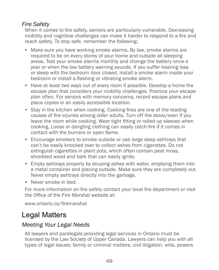## <span id="page-75-0"></span>*Fire Safety*

When it comes to fire safety, seniors are particularly vulnerable. Decreasing mobility and cognitive challenges can make it harder to respond to a fire and reach safety. To stay safe, remember the following:

- Make sure you have working smoke alarms. By law, smoke alarms are required to be on every storey of your home and outside all sleeping areas. Test your smoke alarms monthly and change the battery once a year or when the low battery warning sounds. If you suffer hearing loss or sleep with the bedroom door closed, install a smoke alarm inside your bedroom or install a flashing or vibrating smoke alarm.
- Have at least two ways out of every room if possible. Develop a home fire escape plan that considers your mobility challenges. Practice your escape plan often. For seniors with memory concerns, record escape plans and place copies in an easily accessible location.
- Stay in the kitchen when cooking. Cooking fires are one of the leading causes of fire injuries among older adults. Turn off the stove/oven if you leave the room while cooking. Wear tight fitting or rolled up sleeves when cooking. Loose or dangling clothing can easily catch fire if it comes in contact with the burners or open flame.
- Encourage smokers to smoke outside or use large deep ashtrays that can't be easily knocked over to collect ashes from cigarettes. Do not extinguish cigarettes in plant pots, which often contain peat moss, shredded wood and bark that can easily ignite.
- Empty ashtrays properly by dousing ashes with water, emptying them into a metal container and placing outside. Make sure they are completely out. Never empty ashtrays directly into the garbage.
- Never smoke in bed.

For more information on fire safety contact your local fire department or visit the Office of the Fire Marshal website at:

[www.ontario.ca/firemarshal](http://www.ontario.ca/firemarshal)

# Legal Matters

## *Meeting Your Legal Needs*

All lawyers and paralegals providing legal services in Ontario must be licensed by the Law Society of Upper Canada. Lawyers can help you with all types of legal issues: family or criminal matters, civil litigation, wills, powers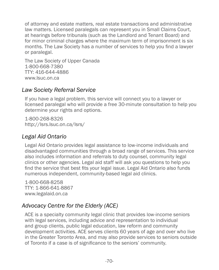<span id="page-76-0"></span>of attorney and estate matters, real estate transactions and administrative law matters. Licensed paralegals can represent you in Small Claims Court, at hearings before tribunals (such as the Landlord and Tenant Board) and for minor criminal charges where the maximum term of imprisonment is six months. The Law Society has a number of services to help you find a lawyer or paralegal.

The Law Society of Upper Canada 1-800-668-7380 TTY: 416-644-4886 [www.lsuc.on.ca](http://www.lsuc.on.ca)

#### *Law Society Referral Service*

If you have a legal problem, this service will connect you to a lawyer or licensed paralegal who will provide a free 30-minute consultation to help you determine your rights and options.

1-800-268-8326 <http://lsrs.lsuc.on.ca/lsrs/>

## *Legal Aid Ontario*

Legal Aid Ontario provides legal assistance to low-income individuals and disadvantaged communities through a broad range of services. This service also includes information and referrals to duty counsel, community legal clinics or other agencies. Legal aid staff will ask you questions to help you find the service that best fits your legal issue. Legal Aid Ontario also funds numerous independent, community-based legal aid clinics.

1-800-668-8258 TTY: 1-866-641-8867 [www.legalaid.on.ca](http://www.legalaid.on.ca)

## *Advocacy Centre for the Elderly (ACE)*

ACE is a specialty community legal clinic that provides low-income seniors with legal services, including advice and representation to individual and group clients, public legal education, law reform and community development activities. ACE serves clients 60 years of age and over who live in the Greater Toronto Area, and may also provide services to seniors outside of Toronto if a case is of significance to the seniors' community.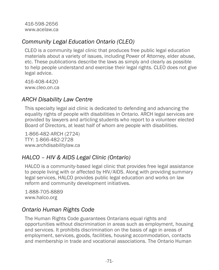<span id="page-77-0"></span>416-598-2656 [www.acelaw.ca](http://www.acelaw.ca)

### *Community Legal Education Ontario (CLEO)*

CLEO is a community legal clinic that produces free public legal education materials about a variety of issues, including Power of Attorney, elder abuse, etc. These publications describe the laws as simply and clearly as possible to help people understand and exercise their legal rights. CLEO does not give legal advice.

416-408-4420 [www.cleo.on.ca](http://www.cleo.on.ca)

### *ARCH Disability Law Centre*

This specialty legal aid clinic is dedicated to defending and advancing the equality rights of people with disabilities in Ontario. ARCH legal services are provided by lawyers and articling students who report to a volunteer elected Board of Directors, at least half of whom are people with disabilities.

1-866-482-ARCH (2724) TTY: 1-866-482-2728 [www.archdisabilitylaw.ca](http://www.archdisabilitylaw.ca)

## *HALCO – HIV & AIDS Legal Clinic (Ontario)*

HALCO is a community-based legal clinic that provides free legal assistance to people living with or affected by HIV/AIDS. Along with providing summary legal services, HALCO provides public legal education and works on law reform and community development initiatives.

1-888-705-8889 [www.halco.org](http://www.halco.org)

## *Ontario Human Rights Code*

The Human Rights Code guarantees Ontarians equal rights and opportunities without discrimination in areas such as employment, housing and services. It prohibits discrimination on the basis of age in areas of employment, services, goods, facilities, housing accommodation, contacts and membership in trade and vocational associations. The Ontario Human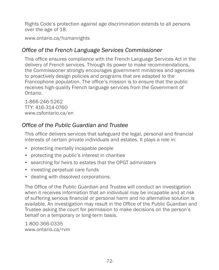<span id="page-78-0"></span>Rights Code's protection against age discrimination extends to all persons over the age of 18.

[www.ontario.ca/humanrights](http://www.ontario.ca/humanrights)

#### *Office of the French Language Services Commissioner*

This office ensures compliance with the French Language Services Act in the delivery of French services. Through its power to make recommendations, the Commissioner strongly encourages government ministries and agencies to proactively design policies and programs that are adapted to the Francophone population. The office's mission is to ensure that the public receives high-quality French language services from the Government of Ontario.

1-866-246-5262 TTY: 416-314-0760 [www.csfontario.ca/en](http://www.csfontario.ca/en)

### *Office of the Public Guardian and Trustee*

This office delivers services that safeguard the legal, personal and financial interests of certain private individuals and estates. It plays a role in:

- protecting mentally incapable people
- protecting the public's interest in charities
- searching for heirs to estates that the OPGT administers
- investing perpetual care funds
- dealing with dissolved corporations.

The Office of the Public Guardian and Trustee will conduct an investigation when it receives information that an individual may be incapable and at risk of suffering serious financial or personal harm and no alternative solution is available. An investigation may result in the Office of the Public Guardian and Trustee asking the court for permission to make decisions on the person's behalf on a temporary or long-term basis.

1-800-366-0335 [www.ontario.ca/rvm](http://www.ontario.ca/rvm)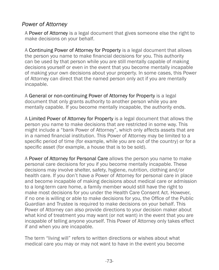#### <span id="page-79-0"></span>*Power of Attorney*

A Power of Attorney is a legal document that gives someone else the right to make decisions on your behalf.

A Continuing Power of Attorney for Property is a legal document that allows the person you name to make financial decisions for you. This authority can be used by that person while you are still mentally capable of making decisions yourself or even in the event that you become mentally incapable of making your own decisions about your property. In some cases, this Power of Attorney can direct that the named person only act if you are mentally incapable.

A General or non-continuing Power of Attorney for Property is a legal document that only grants authority to another person while you are mentally capable. If you become mentally incapable, the authority ends.

A Limited Power of Attorney for Property is a legal document that allows the person you name to make decisions that are restricted in some way. This might include a "bank Power of Attorney", which only affects assets that are in a named financial institution. This Power of Attorney may be limited to a specific period of time (for example, while you are out of the country) or for a specific asset (for example, a house that is to be sold).

A Power of Attorney for Personal Care allows the person you name to make personal care decisions for you if you become mentally incapable. These decisions may involve shelter, safety, hygiene, nutrition, clothing and/or health care. If you don't have a Power of Attorney for personal care in place and become incapable of making decisions about medical care or admission to a long-term care home, a family member would still have the right to make most decisions for you under the Health Care Consent Act. However, if no one is willing or able to make decisions for you, the Office of the Public Guardian and Trustee is required to make decisions on your behalf. This Power of Attorney can also provide directions to your decision maker about what kind of treatment you may want (or not want) in the event that you are incapable of telling anyone yourself. This Power of Attorney only takes effect if and when you are incapable.

The term "living will" refers to written directions or wishes about what medical care you may or may not want to have in the event you become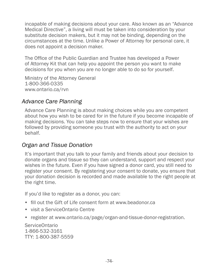<span id="page-80-0"></span>incapable of making decisions about your care. Also known as an "Advance Medical Directive", a living will must be taken into consideration by your substitute decision makers, but it may not be binding, depending on the circumstances at the time. Unlike a Power of Attorney for personal care, it does not appoint a decision maker.

The Office of the Public Guardian and Trustee has developed a Power of Attorney Kit that can help you appoint the person you want to make decisions for you when you are no longer able to do so for yourself.

Ministry of the Attorney General 1-800-366-0335 [www.ontario.ca/rvn](http://www.ontario.ca/rvn)

#### *Advance Care Planning*

Advance Care Planning is about making choices while you are competent about how you wish to be cared for in the future if you become incapable of making decisions. You can take steps now to ensure that your wishes are followed by providing someone you trust with the authority to act on your behalf.

#### *Organ and Tissue Donation*

It's important that you talk to your family and friends about your decision to donate organs and tissue so they can understand, support and respect your wishes in the future. Even if you have signed a donor card, you still need to register your consent. By registering your consent to donate, you ensure that your donation decision is recorded and made available to the right people at the right time.

If you'd like to register as a donor, you can:

- fill out the Gift of Life consent form at [www.beadonor.ca](http://www.beadonor.ca)
- visit a ServiceOntario Centre
- register at [www.ontario.ca/page/organ-and-tissue-donor-registration.](http://www.ontario.ca/page/organ-and-tissue-donor-registration)

ServiceOntario 1-866-532-3161 TTY: 1-800-387-5559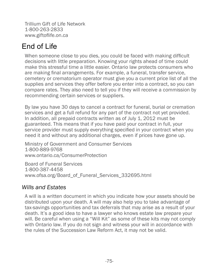Trillium Gift of Life Network 1-800-263-2833 [www.giftoflife.on.ca](http://www.giftoflife.on.ca)

# End of Life

When someone close to you dies, you could be faced with making difficult decisions with little preparation. Knowing your rights ahead of time could make this stressful time a little easier. Ontario law protects consumers who are making final arrangements. For example, a funeral, transfer service, cemetery or crematorium operator must give you a current price list of all the supplies and services they offer before you enter into a contract, so you can compare rates. They also need to tell you if they will receive a commission by recommending certain services or suppliers.

By law you have 30 days to cancel a contract for funeral, burial or cremation services and get a full refund for any part of the contract not yet provided. In addition, all prepaid contracts written as of July 1, 2012 must be guaranteed. This means that if you have paid your contract in full, your service provider must supply everything specified in your contract when you need it and without any additional charges, even if prices have gone up.

Ministry of Government and Consumer Services 1-800-889-9768 [www.ontario.ca/C](http://www.ontario.ca/ConsumerProtection)onsumerProtection

Board of Funeral Services 1-800-387-4458 www.ofsa.org/Board\_of\_Funeral\_Services\_332695.html

#### *Wills and Estates*

A will is a written document in which you indicate how your assets should be distributed upon your death. A will may also help you to take advantage of tax-savings opportunities and tax deferrals that may arise as a result of your death. It's a good idea to have a lawyer who knows estate law prepare your will. Be careful when using a "Will Kit" as some of these kits may not comply with Ontario law. If you do not sign and witness your will in accordance with the rules of the Succession Law Reform Act, it may not be valid.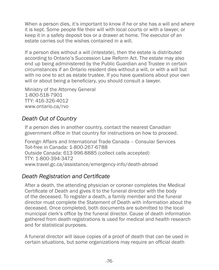When a person dies, it's important to know if he or she has a will and where it is kept. Some people file their will with local courts or with a lawyer, or keep it in a safety deposit box or a drawer at home. The executor of an estate carries out the wishes contained in a will.

If a person dies without a will (intestate), then the estate is distributed according to Ontario's Succession Law Reform Act. The estate may also end up being administered by the Public Guardian and Trustee in certain circumstances if an Ontario resident dies without a will, or with a will but with no one to act as estate trustee. If you have questions about your own will or about being a beneficiary, you should consult a lawyer.

Ministry of the Attorney General 1-800-518-7901 TTY: 416-326-4012 [www.ontario.ca/rvo](http://www.ontario.ca/rvo)

#### *Death Out of Country*

If a person dies in another country, contact the nearest Canadian government office in that country for instructions on how to proceed.

Foreign Affairs and International Trade Canada – Consular Services Toll-free in Canada: 1-800-267-6788 Outside Canada: 613-996-8885 (collect calls accepted) TTY: 1-800-394-3472 [www.travel.gc.ca/assistance/emergency-info/death-abroad](http://www.travel.gc.ca/assistance/emergency-info/death-abroad)

#### *Death Registration and Certificate*

After a death, the attending physician or coroner completes the Medical Certificate of Death and gives it to the funeral director with the body of the deceased. To register a death, a family member and the funeral director must complete the Statement of Death with information about the deceased. Once completed, both documents are submitted to the local municipal clerk's office by the funeral director. Cause of death information gathered from death registrations is used for medical and health research and for statistical purposes.

A funeral director will issue copies of a proof of death that can be used in certain situations, but some organizations may require an official death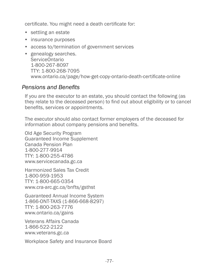certificate. You might need a death certificate for:

- settling an estate
- insurance purposes
- access to/termination of government services
- genealogy searches. ServiceOntario 1-800-267-8097 TTY: 1-800-268-7095 [www.ontario.ca/page/how-get-copy-ontario-death-certificate-online](http://www.ontario.ca/page/how-get-copy-ontario-death-certificate-online)

#### *Pensions and Benefits*

If you are the executor to an estate, you should contact the following (as they relate to the deceased person) to find out about eligibility or to cancel benefits, services or appointments.

The executor should also contact former employers of the deceased for information about company pensions and benefits.

Old Age Security Program Guaranteed Income Supplement Canada Pension Plan 1-800-277-9914 TTY: 1-800-255-4786 [www.servicecanada.gc.ca](http://www.servicecanada.gc.ca/eng/sc/oas/pension/oldagesecurity.shtml)

Harmonized Sales Tax Credit 1-800-959-1953 TTY: 1-800-665-0354 [www.cra-arc.gc.ca/bnfts/gsthst](http://www.cra-arc.gc.ca/bnfts/gsthst)

Guaranteed Annual Income System 1-866-ONT-TAXS (1-866-668-8297) TTY: 1-800-263-7776 [www.ontario.ca/gains](http://www.ontario.ca/gains)

Veterans Affairs Canada 1-866-522-2122 [www.veterans.gc.ca](http://www.veterans.gc.ca)

Workplace Safety and Insurance Board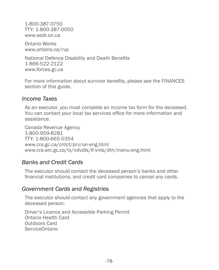1-800-387-0750 TTY: 1-800-387-0050 [www.wsib.on.ca](http://www.wsib.on.ca)

Ontario Works [www.ontario.ca/rvp](http://www.ontario.ca/rvp)

National Defence Disability and Death Benefits 1-866-522-2122 [www.forces.gc.ca](http://www.forces.gc.ca)

For more information about survivor benefits, please see the FINANCES section of this guide.

#### *Income Taxes*

As an executor, you must complete an income tax form for the deceased. You can contact your local tax services office for more information and assistance.

Canada Revenue Agency 1-800-959-8281 TTY: 1-800-665-0354 [www.cra.gc.ca/cntct/prv/on-eng.html](http://www.cra.gc.ca/cntct/prv/on-eng.html) [www.cra-arc.gc.ca/tx/ndvdls/lf-vnts/dth/menu-eng.html](http://www.cra-arc.gc.ca/tx/ndvdls/lf-vnts/dth/menu-eng.html)

#### *Banks and Credit Cards*

The executor should contact the deceased person's banks and other financial institutions, and credit card companies to cancel any cards.

#### *Government Cards and Registries*

The executor should contact any government agencies that apply to the deceased person:

Driver's Licence and Accessible Parking Permit Ontario Health Card Outdoors Card ServiceOntario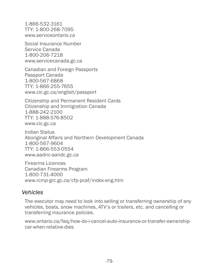<span id="page-85-0"></span>1-866-532-3161 TTY: 1-800-268-7095 [www.serviceontario.ca](http://www.serviceontario.ca)

Social Insurance Number Service Canada 1-800-206-7218 [www.servicecanada.gc.ca](http://www.ServiceCanada.gc.ca/eng/sin/protect/death.shtml)

Canadian and Foreign Passports Passport Canada 1-800-567-6868 TTY: 1-866-255-7655 [www.cic.gc.ca/english/passport](http://www.cic.gc.ca/english/passport/)

Citizenship and Permanent Resident Cards Citizenship and Immigration Canada 1-888-242-2100 TTY: 1-888-576-8502 [www.cic.gc.ca](http://www.cic.gc.ca)

Indian Status Aboriginal Affairs and Northern Development Canada 1-800-567-9604 TTY: 1-866-553-0554 [www.aadnc-aandc.gc.ca](http://www.aadnc-aandc.gc.ca)

Firearms Licences Canadian Firearms Program 1-800-731-4000 [www.rcmp-grc.gc.ca/cfp-pcaf/index-eng.htm](http://www.rcmp-grc.gc.ca/cfp-pcaf/index-eng.htm)

#### *Vehicles*

The executor may need to look into selling or transferring ownership of any vehicles, boats, snow machines, ATV's or trailers, etc. and cancelling or transferring insurance policies.

www.ontario.ca/faq/how-do-i-cancel-auto-insurance-or-transfer-ownershipcar-when-relative-dies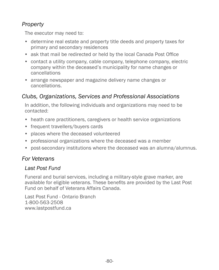## <span id="page-86-0"></span>*Property*

The executor may need to:

- determine real estate and property title deeds and property taxes for primary and secondary residences
- ask that mail be redirected or held by the local Canada Post Office
- contact a utility company, cable company, telephone company, electric company within the deceased's municipality for name changes or cancellations
- arrange newspaper and magazine delivery name changes or cancellations.

### *Clubs, Organizations, Services and Professional Associations*

In addition, the following individuals and organizations may need to be contacted:

- heath care practitioners, caregivers or health service organizations
- frequent travellers/buyers cards
- places where the deceased volunteered
- professional organizations where the deceased was a member
- post-secondary institutions where the deceased was an alumna/alumnus.

#### *For Veterans*

#### *Last Post Fund*

Funeral and burial services, including a military-style grave marker, are available for eligible veterans. These benefits are provided by the Last Post Fund on behalf of Veterans Affairs Canada.

Last Post Fund - Ontario Branch 1-800-563-2508 [www.lastpostfund.ca](http://www.lastpostfund.ca)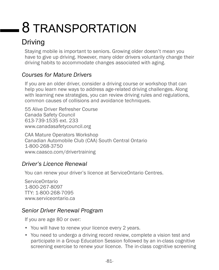# <span id="page-87-0"></span>8 TRANSPORTATION

# Driving

Staying mobile is important to seniors. Growing older doesn't mean you have to give up driving. However, many older drivers voluntarily change their driving habits to accommodate changes associated with aging.

## *Courses for Mature Drivers*

If you are an older driver, consider a driving course or workshop that can help you learn new ways to address age-related driving challenges. Along with learning new strategies, you can review driving rules and regulations, common causes of collisions and avoidance techniques.

55 Alive Driver Refresher Course Canada Safety Council 613-739-1535 ext. 233 www[.canadasafetycouncil.org](http://canadasafetycouncil.org/)

CAA Mature Operators Workshop Canadian Automobile Club (CAA) South Central Ontario 1-800-268-3750 [www.caasco.com/drivertraining](http://www.caasco.com/drivertraining)

## *Driver's Licence Renewal*

You can renew your driver's licence at ServiceOntario Centres.

ServiceOntario 1-800-267-8097 TTY: 1-800-268-7095 [www.serviceontario.ca](http://www.serviceontario.ca)

## *Senior Driver Renewal Program*

If you are age 80 or over:

- You will have to renew your licence every 2 years.
- You need to undergo a driving record review, complete a vision test and participate in a Group Education Session followed by an in-class cognitive screening exercise to renew your licence. The in-class cognitive screening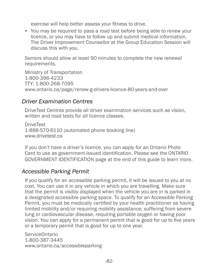<span id="page-88-0"></span>exercise will help better assess your fitness to drive.

• You may be required to pass a road test before being able to renew your licence, or you may have to follow up and submit medical information. The Driver Improvement Counsellor at the Group Education Session will discuss this with you.

Seniors should allow at least 90 minutes to complete the new renewal requirements.

Ministry of Transportation 1-800-396-4233 TTY: 1-800-268-7095 [www.ontario.ca/page/renew-g-drivers-licence-80-years-and-over](http://www.ontario.ca/page/renew-g-drivers-licence-80-years-and-over)

#### *Driver Examination Centres*

DriveTest Centres provide all driver examination services such as vision, written and road tests for all licence classes.

**DriveTest** 1-888-570-6110 (automated phone booking line) [www.drivetest.ca](http://www.drivetest.ca)

If you don't have a driver's licence, you can apply for an Ontario Photo Card to use as government-issued identification. Please see the ONTARIO GOVERNMENT IDENTIFICATION page at the end of this guide to learn more.

#### *Accessible Parking Permit*

If you qualify for an accessible parking permit, it will be issued to you at no cost. You can use it in any vehicle in which you are travelling. Make sure that the permit is visibly displayed when the vehicle you are in is parked in a designated accessible parking space. To qualify for an Accessible Parking Permit, you must be medically certified by your health practitioner as having limited mobility and/or requiring mobility assistance, suffering from severe lung or cardiovascular disease, requiring portable oxygen or having poor vision. You can apply for a permanent permit that is good for up to five years or a temporary permit that is good for up to one year.

ServiceOntario 1-800-387-3445 [www.ontario.ca/accessibleparking](http://www.ontario.ca/accessibleparking)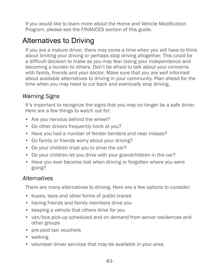<span id="page-89-0"></span>If you would like to learn more about the Home and Vehicle Modification Program, please see the FINANCES section of this guide.

# Alternatives to Driving

If you are a mature driver, there may come a time when you will have to think about limiting your driving or perhaps stop driving altogether. This could be a difficult decision to make as you may fear losing your independence and becoming a burden to others. Don't be afraid to talk about your concerns with family, friends and your doctor. Make sure that you are well informed about available alternatives to driving in your community. Plan ahead for the time when you may need to cut back and eventually stop driving.

## *Warning Signs*

It's important to recognize the signs that you may no longer be a safe driver. Here are a few things to watch out for:

- Are you nervous behind the wheel?
- Do other drivers frequently honk at you?
- Have you had a number of fender benders and near misses?
- Do family or friends worry about your driving?
- Do your children trust you to drive the car?
- Do your children let you drive with your grandchildren in the car?
- Have you ever become lost when driving or forgotten where you were going?

## *Alternatives*

There are many alternatives to driving. Here are a few options to consider:

- buses, taxis and other forms of public transit
- having friends and family members drive you
- keeping a vehicle that others drive for you
- van/bus pick-up scheduled and on demand from senior residences and other groups
- pre-paid taxi vouchers
- walking
- volunteer driver services that may be available in your area.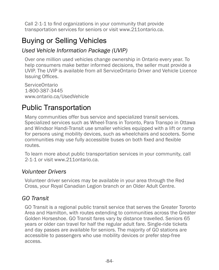Call 2-1-1 to find organizations in your community that provide transportation services for seniors or visit [www.211ontario.ca](http://www.211ontario.ca).

## Buying or Selling Vehicles

### *Used Vehicle Information Package (UVIP)*

Over one million used vehicles change ownership in Ontario every year. To help consumers make better informed decisions, the seller must provide a UVIP. The UVIP is available from all ServiceOntario Driver and Vehicle Licence Issuing Offices.

ServiceOntario 1-800-387-3445 [www.ontario.ca/UsedVehicle](http://www.ontario.ca/UsedVehicle)

# Public Transportation

Many communities offer bus service and specialized transit services. Specialized services such as Wheel-Trans in Toronto, Para Transpo in Ottawa and Windsor Handi-Transit use smaller vehicles equipped with a lift or ramp for persons using mobility devices, such as wheelchairs and scooters. Some communities may use fully accessible buses on both fixed and flexible routes.

To learn more about public transportation services in your community, call 2-1-1 or visit [www.211ontario.ca](http://www.211ontario.ca).

#### *Volunteer Drivers*

Volunteer driver services may be available in your area through the Red Cross, your Royal Canadian Legion branch or an Older Adult Centre.

#### *GO Transit*

GO Transit is a regional public transit service that serves the Greater Toronto Area and Hamilton, with routes extending to communities across the Greater Golden Horseshoe. GO Transit fares vary by distance travelled. Seniors 65 years or older can travel for half the regular adult fare. Single-ride tickets and day passes are available for seniors. The majority of GO stations are accessible to passengers who use mobility devices or prefer step-free access.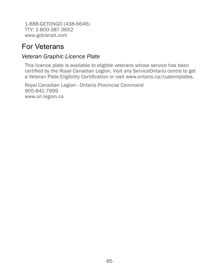1-888-GETONGO (438-6646) TTY: 1-800-387-3652 [www.gotransit.com](http://www.gotransit.com)

## For Veterans

#### *Veteran Graphic Licence Plate*

This licence plate is available to eligible veterans whose service has been certified by the Royal Canadian Legion. Visit any ServiceOntario centre to get a Veteran Plate Eligibility Certification or visit [www.ontario.ca/customplates](http://www.ontario.ca/customplates).

Royal Canadian Legion - Ontario Provincial Command 905-841-7999 [www.on.legion.ca](http://www.on.legion.ca)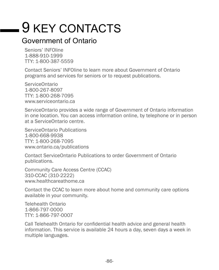# 9 KEY CONTACTS

## Government of Ontario

Seniors' INFOline 1-888-910-1999 TTY: 1-800-387-5559

Contact Seniors' INFOline to learn more about Government of Ontario programs and services for seniors or to request publications.

ServiceOntario 1-800-267-8097 TTY: 1-800-268-7095 www.serviceontario.ca

ServiceOntario provides a wide range of Government of Ontario information in one location. You can access information online, by telephone or in person at a ServiceOntario centre.

ServiceOntario Publications 1-800-668-9938 TTY: 1-800-268-7095 www.ontario.ca/publications

Contact ServiceOntario Publications to order Government of Ontario publications.

Community Care Access Centre (CCAC) 310-CCAC (310-2222) [www.healthcareathome.ca](http://www.healthcareathome.ca)

Contact the CCAC to learn more about home and community care options available in your community.

Telehealth Ontario 1-866-797-0000 TTY: 1-866-797-0007

Call Telehealth Ontario for confidential health advice and general health information. This service is available 24 hours a day, seven days a week in multiple languages.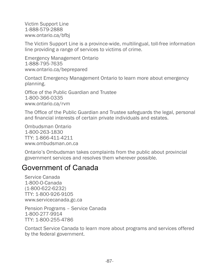Victim Support Line 1-888-579-2888 [www.ontario.ca/bfbj](http://www.ontario.ca/bfbj)

The Victim Support Line is a province-wide, multilingual, toll-free information line providing a range of services to victims of crime.

Emergency Management Ontario 1-888-795-7635 [www.ontario.ca/beprepared](http://www.ontario.ca/beprepared)

Contact Emergency Management Ontario to learn more about emergency planning.

Office of the Public Guardian and Trustee 1-800-366-0335 www.ontario.ca/rvm

The Office of the Public Guardian and Trustee safeguards the legal, personal and financial interests of certain private individuals and estates.

Ombudsman Ontario 1-800-263-1830 TTY: 1-866-411-4211 www.ombudsman.on.ca

Ontario's Ombudsman takes complaints from the public about provincial government services and resolves them wherever possible.

## Government of Canada

Service Canada 1-800-O-Canada (1-800-622-6232) TTY: 1-800-926-9105 www.servicecanada.gc.ca

Pension Programs – Service Canada 1-800-277-9914 TTY: 1-800-255-4786

Contact Service Canada to learn more about programs and services offered by the federal government.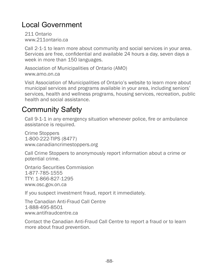# Local Government

211 Ontario www.211ontario.ca

Call 2-1-1 to learn more about community and social services in your area. Services are free, confidential and available 24 hours a day, seven days a week in more than 150 languages.

Association of Municipalities of Ontario (AMO) www.amo.on.ca

Visit Association of Municipalities of Ontario's website to learn more about municipal services and programs available in your area, including seniors' services, health and wellness programs, housing services, recreation, public health and social assistance.

## Community Safety

Call 9-1-1 in any emergency situation whenever police, fire or ambulance assistance is required.

Crime Stoppers 1-800-222-TIPS (8477) www.canadiancrimestoppers.org

Call Crime Stoppers to anonymously report information about a crime or potential crime.

Ontario Securities Commission 1-877-785-1555 TTY: 1-866-827-1295 www.osc.gov.on.ca

If you suspect investment fraud, report it immediately.

The Canadian Anti-Fraud Call Centre 1-888-495-8501 www.antifraudcentre.ca

Contact the Canadian Anti-Fraud Call Centre to report a fraud or to learn more about fraud prevention.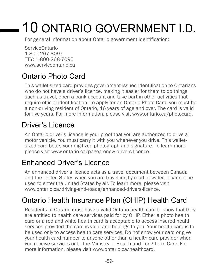# 10 ONTARIO GOVERNMENT I.D.

For general information about Ontario government identification:

ServiceOntario 1-800-267-8097 TTY: 1-800-268-7095 [www.serviceontario.ca](http://www.serviceontario.ca)

# Ontario Photo Card

This wallet-sized card provides government-issued identification to Ontarians who do not have a driver's licence, making it easier for them to do things such as travel, open a bank account and take part in other activities that require official identification. To apply for an Ontario Photo Card, you must be a non-driving resident of Ontario, 16 years of age and over. The card is valid for five years. For more information, please visit [www.ontario.ca/photocard.](http://www.ontario.ca/photocard)

# Driver's Licence

An Ontario driver's licence is your proof that you are authorized to drive a motor vehicle. You must carry it with you whenever you drive. This walletsized card bears your digitized photograph and signature. To learn more, please visit [www.ontario.ca/page/renew-drivers-licence.](http://www.ontario.ca/page/renew-drivers-licence)

# Enhanced Driver's Licence

An enhanced driver's licence acts as a travel document between Canada and the United States when you are travelling by road or water. It cannot be used to enter the United States by air. To learn more, please visit [www.ontario.ca/driving-and-roads/enhanced-drivers-licence.](http://www.ontario.ca/driving-and-roads/enhanced-drivers-licence)

# Ontario Health Insurance Plan (OHIP) Health Card

Residents of Ontario must have a valid Ontario health card to show that they are entitled to health care services paid for by OHIP. Either a photo health card or a red and white health card is acceptable to access insured health services provided the card is valid and belongs to you. Your health card is to be used only to access health care services. Do not show your card or give your health card number to anyone other than a health care provider when you receive services or to the Ministry of Health and Long-Term Care. For more information, please visit [www.ontario.ca/healthcard.](http://www.ontario.ca/healthcard)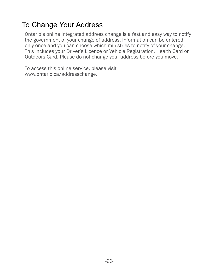## To Change Your Address

Ontario's online integrated address change is a fast and easy way to notify the government of your change of address. Information can be entered only once and you can choose which ministries to notify of your change. This includes your Driver's Licence or Vehicle Registration, Health Card or Outdoors Card. Please do not change your address before you move.

To access this online service, please visit [www.ontario.ca/a](http://www.ontario.ca/addresschange)ddresschange.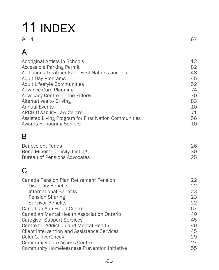# 11 INDEX

| $\sim$ $\sim$<br>61<br>$\sim$ 1 |
|---------------------------------|
|                                 |

# A

| Aboriginal Artists in Schools<br><b>Accessible Parking Permit</b><br>Addictions Treatments for First Nations and Inuit<br><b>Adult Day Programs</b><br><b>Adult Lifestyle Communities</b><br><b>Advance Care Planning</b><br><b>Advocacy Centre for the Elderly</b><br><b>Alternatives to Driving</b><br><b>Annual Events</b><br><b>ARCH Disability Law Centre</b><br>Assisted Living Program for First Nation Communities<br><b>Awards Honouring Seniors</b>                                                              | 12<br>82<br>48<br>45<br>52<br>74<br>70                                     |
|----------------------------------------------------------------------------------------------------------------------------------------------------------------------------------------------------------------------------------------------------------------------------------------------------------------------------------------------------------------------------------------------------------------------------------------------------------------------------------------------------------------------------|----------------------------------------------------------------------------|
|                                                                                                                                                                                                                                                                                                                                                                                                                                                                                                                            | 83<br>10<br>71<br>56<br>10                                                 |
| B                                                                                                                                                                                                                                                                                                                                                                                                                                                                                                                          |                                                                            |
| <b>Benevolent Funds</b><br><b>Bone Mineral Density Testing</b><br><b>Bureau of Pensions Advocates</b>                                                                                                                                                                                                                                                                                                                                                                                                                      | 26<br>30<br>25                                                             |
| C                                                                                                                                                                                                                                                                                                                                                                                                                                                                                                                          |                                                                            |
| Canada Pension Plan Retirement Pension<br><b>Disability Benefits</b><br><b>International Benefits</b><br><b>Pension Sharing</b><br><b>Survivor Benefits</b><br><b>Canadian Anti-Fraud Centre</b><br><b>Canadian Mental Health Association Ontario</b><br><b>Caregiver Support Services</b><br><b>Centre for Addiction and Mental Health</b><br><b>Client Intervention and Assistance Services</b><br><b>ColonCancerCheck</b><br><b>Community Care Access Centre</b><br><b>Community Homelessness Prevention Initiative</b> | 22<br>22<br>23<br>23<br>22<br>67<br>40<br>45<br>40<br>45<br>29<br>27<br>55 |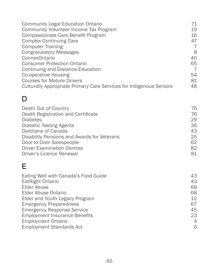| <b>Community Legal Education Ontario</b>                                   | 71             |
|----------------------------------------------------------------------------|----------------|
| <b>Community Volunteer Income Tax Program</b>                              | 19             |
| Compassionate Care Benefit Program                                         | 16             |
| <b>Complex Continuing Care</b>                                             | 47             |
| <b>Computer Training</b>                                                   | $\overline{7}$ |
| <b>Congratulatory Messages</b>                                             | 8              |
| <b>ConnexOntario</b>                                                       | 40             |
| <b>Consumer Protection Ontario</b>                                         | 65             |
| <b>Continuing and Distance Education</b>                                   | $\overline{7}$ |
| Co-operative Housing                                                       | 54             |
| <b>Courses for Mature Drivers</b>                                          | 81             |
| <b>Culturally Appropriate Primary Care Services for Indigenous Seniors</b> | 48             |
| D                                                                          |                |
| Death Out of Country                                                       | 76             |
| Death Registration and Certificate                                         | 76             |
| <b>Diabetes</b>                                                            | 29             |
| <b>Diabetic Testing Agents</b>                                             | 36             |
| Dietitians of Canada                                                       | 43             |
| Disability Pensions and Awards for Veterans                                | 25             |
| Door-to Door Salespeople                                                   | 62             |
| <b>Driver Examination Centres</b>                                          | 82             |
| <b>Driver's Licence Renewal</b>                                            | 81             |
| F                                                                          |                |
| Eating Well with Canada's Food Guide                                       | 43             |
| EatRight Ontario                                                           | 43             |
| <b>Elder Abuse</b>                                                         | 68             |
| <b>Elder Abuse Ontario</b>                                                 | 68             |
| Elder and Youth Legacy Program                                             | 12             |
| <b>Emergency Preparedness</b>                                              | 67             |
| <b>Emergency Response Service</b>                                          | 45             |

[Employment Insurance Benefits](#page-29-0) 23 [Employment Ontario](#page-11-0) 4 [Employment Standards Act](#page-12-0) 6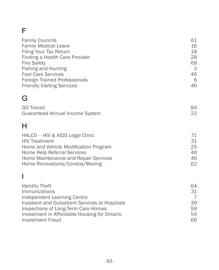# F

| <b>Family Councils</b>                         | 61             |
|------------------------------------------------|----------------|
| <b>Family Medical Leave</b>                    | 16             |
| <b>Filing Your Tax Return</b>                  | 18             |
| Finding a Health Care Provider                 | 28             |
| <b>Fire Safety</b>                             | 69             |
| <b>Fishing and Hunting</b>                     | 3              |
| <b>Foot Care Services</b>                      | 46             |
| <b>Foreign Trained Professionals</b>           | 6              |
| <b>Friendly Visiting Services</b>              | 46             |
| G                                              |                |
| <b>GO Transit</b>                              | 84             |
| <b>Guaranteed Annual Income System</b>         | 22             |
| Н                                              |                |
| HALCO - HIV & AIDS Legal Clinic                | 71             |
| <b>HIV Treatment</b>                           | 31             |
| Home and Vehicle Modification Program          | 25             |
| Home Help Referral Services                    | 46             |
| Home Maintenance and Repair Services           | 46             |
| Home Renovations/Condos/Moving                 | 62             |
| I                                              |                |
| <b>Identity Theft</b>                          | 64             |
| Immunizations                                  | 31             |
| <b>Independent Learning Centre</b>             | $\overline{7}$ |
| Inpatient and Outpatient Services at Hospitals | 39             |
| Inspections of Long-Term Care Homes            | 59             |
| Investment in Affordable Housing for Ontario   | 54             |
| <b>Investment Fraud</b>                        | 66             |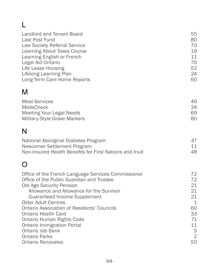# L

| Landlord and Tenant Board           | 55 |
|-------------------------------------|----|
| Last Post Fund                      | 80 |
| <b>Law Society Referral Service</b> | 70 |
| <b>Learning About Taxes Course</b>  | 19 |
| Learning English or French          | 11 |
| Legal Aid Ontario                   | 70 |
| Life Lease Housing                  | 52 |
| <b>Lifelong Learning Plan</b>       | 24 |
| Long-Term Care Home Reports         | 60 |
| M                                   |    |
| <b>Meal Services</b>                | 46 |
| <b>MedsCheck</b>                    | 34 |
| <b>Meeting Your Legal Needs</b>     | 69 |
| Military-Style Grave Markers        | 80 |
|                                     |    |

# N

| National Aboriginal Diabetes Program                    |    |
|---------------------------------------------------------|----|
| Newcomer Settlement Program                             | 11 |
| Non-Insured Health Benefits for First Nations and Inuit | 48 |

# O

| Office of the French Language Services Commissioner<br>Office of the Public Guardian and Trustee | 72<br>72       |
|--------------------------------------------------------------------------------------------------|----------------|
| <b>Old Age Security Pension</b>                                                                  | 21             |
| Allowance and Allowance for the Survivor                                                         | 21             |
| <b>Guaranteed Income Supplement</b>                                                              | 21.            |
| <b>Older Adult Centres</b>                                                                       | -1             |
| <b>Ontario Association of Residents' Councils</b>                                                | 60             |
| <b>Ontario Health Card</b>                                                                       | 33             |
| <b>Ontario Human Rights Code</b>                                                                 | 71             |
| <b>Ontario Immigration Portal</b>                                                                | 11             |
| Ontario Job Bank                                                                                 | 5              |
| <b>Ontario Parks</b>                                                                             | $\overline{2}$ |
| <b>Ontario Renovates</b>                                                                         | 50             |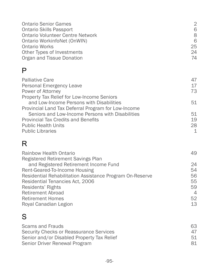| 2  |
|----|
| 6  |
| 8  |
| 6  |
| 25 |
| 24 |
| 74 |
|    |

## P

| <b>Palliative Care</b>                              | 47 |
|-----------------------------------------------------|----|
| Personal Emergency Leave                            | 17 |
| Power of Attorney                                   | 73 |
| Property Tax Relief for Low-Income Seniors          |    |
| and Low-Income Persons with Disabilities            | 51 |
| Provincial Land Tax Deferral Program for Low-Income |    |
| Seniors and Low-Income Persons with Disabilities    | 51 |
| <b>Provincial Tax Credits and Benefits</b>          | 19 |
| <b>Public Health Units</b>                          | 28 |
| <b>Public Libraries</b>                             | 1  |

# R

| Rainbow Health Ontario                                   | 49             |
|----------------------------------------------------------|----------------|
| Registered Retirement Savings Plan                       |                |
| and Registered Retirement Income Fund                    | 24             |
| Rent-Geared-To-Income Housing                            | 54             |
| Residential Rehabilitation Assistance Program On-Reserve | 56             |
| Residential Tenancies Act, 2006                          | 55             |
| Residents' Rights                                        | 59             |
| <b>Retirement Abroad</b>                                 | $\overline{4}$ |
| <b>Retirement Homes</b>                                  | 52             |
| Royal Canadian Legion                                    | 13             |
|                                                          |                |

# S

| Scams and Frauds                           | 63 |
|--------------------------------------------|----|
| Security Checks or Reassurance Services    | 47 |
| Senior and/or Disabled Property Tax Relief | 51 |
| Senior Driver Renewal Program              | 81 |